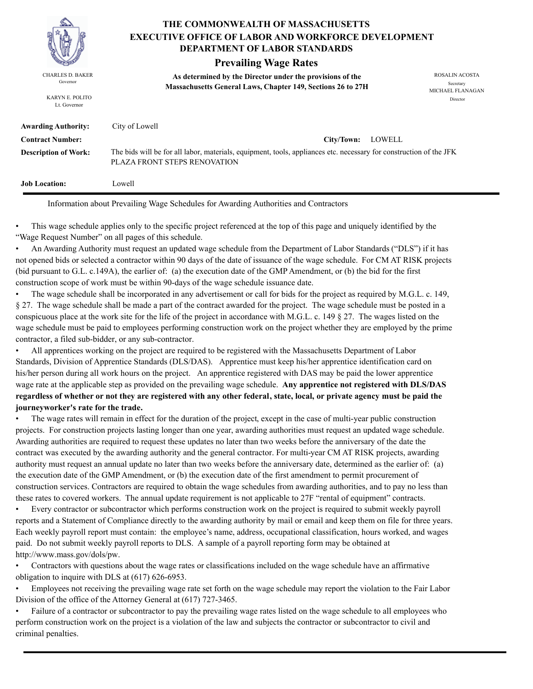

KARYN E. POLITO Lt. Governor

# **THE COMMONWEALTH OF MASSACHUSETTS DEPARTMENT OF LABOR STANDARDS EXECUTIVE OFFICE OF LABOR AND WORKFORCE DEVELOPMENT**

# **Prevailing Wage Rates**

**As determined by the Director under the provisions of the**  CHARLES D. BAKER ROSALIN ACOSTA Governor<br>**Massachusetts General Laws, Chapter 149, Sections 26 to 27H** 

MICHAEL FLANAGAN Director

| <b>Awarding Authority:</b>  | City of Lowell                                                                                                                                     |
|-----------------------------|----------------------------------------------------------------------------------------------------------------------------------------------------|
| <b>Contract Number:</b>     | LOWELL<br>City/Town:                                                                                                                               |
| <b>Description of Work:</b> | The bids will be for all labor, materials, equipment, tools, appliances etc. necessary for construction of the JFK<br>PLAZA FRONT STEPS RENOVATION |
| <b>Job Location:</b>        | Lowell                                                                                                                                             |

Information about Prevailing Wage Schedules for Awarding Authorities and Contractors

• This wage schedule applies only to the specific project referenced at the top of this page and uniquely identified by the "Wage Request Number" on all pages of this schedule.

• An Awarding Authority must request an updated wage schedule from the Department of Labor Standards ("DLS") if it has not opened bids or selected a contractor within 90 days of the date of issuance of the wage schedule. For CM AT RISK projects (bid pursuant to G.L. c.149A), the earlier of: (a) the execution date of the GMP Amendment, or (b) the bid for the first construction scope of work must be within 90-days of the wage schedule issuance date.

• The wage schedule shall be incorporated in any advertisement or call for bids for the project as required by M.G.L. c. 149, § 27. The wage schedule shall be made a part of the contract awarded for the project. The wage schedule must be posted in a conspicuous place at the work site for the life of the project in accordance with M.G.L. c. 149 § 27. The wages listed on the wage schedule must be paid to employees performing construction work on the project whether they are employed by the prime contractor, a filed sub-bidder, or any sub-contractor.

• All apprentices working on the project are required to be registered with the Massachusetts Department of Labor Standards, Division of Apprentice Standards (DLS/DAS). Apprentice must keep his/her apprentice identification card on his/her person during all work hours on the project. An apprentice registered with DAS may be paid the lower apprentice wage rate at the applicable step as provided on the prevailing wage schedule. **Any apprentice not registered with DLS/DAS regardless of whether or not they are registered with any other federal, state, local, or private agency must be paid the journeyworker's rate for the trade.**

• The wage rates will remain in effect for the duration of the project, except in the case of multi-year public construction projects. For construction projects lasting longer than one year, awarding authorities must request an updated wage schedule. Awarding authorities are required to request these updates no later than two weeks before the anniversary of the date the contract was executed by the awarding authority and the general contractor. For multi-year CM AT RISK projects, awarding authority must request an annual update no later than two weeks before the anniversary date, determined as the earlier of: (a) the execution date of the GMP Amendment, or (b) the execution date of the first amendment to permit procurement of construction services. Contractors are required to obtain the wage schedules from awarding authorities, and to pay no less than these rates to covered workers. The annual update requirement is not applicable to 27F "rental of equipment" contracts.

• Every contractor or subcontractor which performs construction work on the project is required to submit weekly payroll reports and a Statement of Compliance directly to the awarding authority by mail or email and keep them on file for three years. Each weekly payroll report must contain: the employee's name, address, occupational classification, hours worked, and wages paid. Do not submit weekly payroll reports to DLS. A sample of a payroll reporting form may be obtained at http://www.mass.gov/dols/pw.

• Contractors with questions about the wage rates or classifications included on the wage schedule have an affirmative obligation to inquire with DLS at (617) 626-6953.

• Employees not receiving the prevailing wage rate set forth on the wage schedule may report the violation to the Fair Labor Division of the office of the Attorney General at (617) 727-3465.

• Failure of a contractor or subcontractor to pay the prevailing wage rates listed on the wage schedule to all employees who perform construction work on the project is a violation of the law and subjects the contractor or subcontractor to civil and criminal penalties.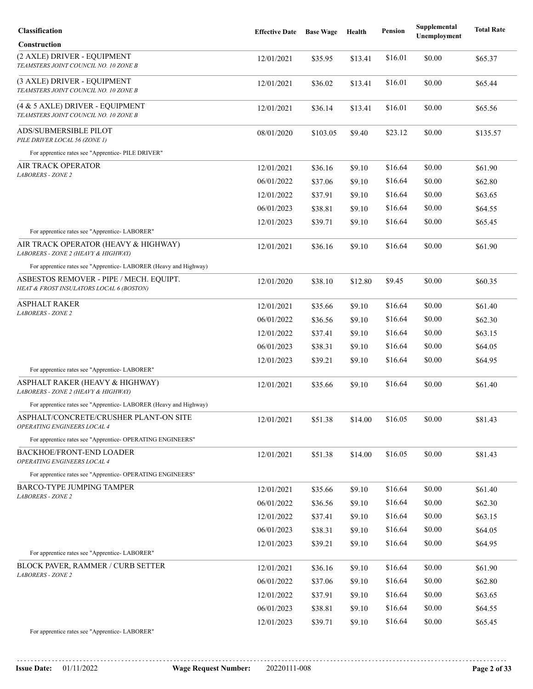| Classification                                                                      | <b>Effective Date</b> | <b>Base Wage</b> | Health  | <b>Pension</b> | Supplemental<br>Unemployment | <b>Total Rate</b> |
|-------------------------------------------------------------------------------------|-----------------------|------------------|---------|----------------|------------------------------|-------------------|
| <b>Construction</b>                                                                 |                       |                  |         |                |                              |                   |
| (2 AXLE) DRIVER - EQUIPMENT<br>TEAMSTERS JOINT COUNCIL NO. 10 ZONE B                | 12/01/2021            | \$35.95          | \$13.41 | \$16.01        | \$0.00                       | \$65.37           |
| (3 AXLE) DRIVER - EQUIPMENT<br>TEAMSTERS JOINT COUNCIL NO. 10 ZONE B                | 12/01/2021            | \$36.02          | \$13.41 | \$16.01        | \$0.00                       | \$65.44           |
| (4 & 5 AXLE) DRIVER - EQUIPMENT<br>TEAMSTERS JOINT COUNCIL NO. 10 ZONE B            | 12/01/2021            | \$36.14          | \$13.41 | \$16.01        | \$0.00                       | \$65.56           |
| ADS/SUBMERSIBLE PILOT<br>PILE DRIVER LOCAL 56 (ZONE 1)                              | 08/01/2020            | \$103.05         | \$9.40  | \$23.12        | \$0.00                       | \$135.57          |
| For apprentice rates see "Apprentice- PILE DRIVER"                                  |                       |                  |         |                |                              |                   |
| AIR TRACK OPERATOR                                                                  | 12/01/2021            | \$36.16          | \$9.10  | \$16.64        | \$0.00                       | \$61.90           |
| <b>LABORERS - ZONE 2</b>                                                            | 06/01/2022            | \$37.06          | \$9.10  | \$16.64        | \$0.00                       | \$62.80           |
|                                                                                     | 12/01/2022            | \$37.91          | \$9.10  | \$16.64        | \$0.00                       | \$63.65           |
|                                                                                     | 06/01/2023            | \$38.81          | \$9.10  | \$16.64        | \$0.00                       | \$64.55           |
|                                                                                     | 12/01/2023            | \$39.71          | \$9.10  | \$16.64        | \$0.00                       | \$65.45           |
| For apprentice rates see "Apprentice-LABORER"                                       |                       |                  |         |                |                              |                   |
| AIR TRACK OPERATOR (HEAVY & HIGHWAY)<br>LABORERS - ZONE 2 (HEAVY & HIGHWAY)         | 12/01/2021            | \$36.16          | \$9.10  | \$16.64        | \$0.00                       | \$61.90           |
| For apprentice rates see "Apprentice- LABORER (Heavy and Highway)                   |                       |                  |         |                |                              |                   |
| ASBESTOS REMOVER - PIPE / MECH. EQUIPT.<br>HEAT & FROST INSULATORS LOCAL 6 (BOSTON) | 12/01/2020            | \$38.10          | \$12.80 | \$9.45         | \$0.00                       | \$60.35           |
| ASPHALT RAKER                                                                       | 12/01/2021            | \$35.66          | \$9.10  | \$16.64        | \$0.00                       | \$61.40           |
| <b>LABORERS - ZONE 2</b>                                                            | 06/01/2022            | \$36.56          | \$9.10  | \$16.64        | \$0.00                       | \$62.30           |
|                                                                                     | 12/01/2022            | \$37.41          | \$9.10  | \$16.64        | \$0.00                       | \$63.15           |
|                                                                                     | 06/01/2023            | \$38.31          | \$9.10  | \$16.64        | \$0.00                       | \$64.05           |
|                                                                                     | 12/01/2023            | \$39.21          | \$9.10  | \$16.64        | \$0.00                       | \$64.95           |
| For apprentice rates see "Apprentice- LABORER"                                      |                       |                  |         |                |                              |                   |
| ASPHALT RAKER (HEAVY & HIGHWAY)<br>LABORERS - ZONE 2 (HEAVY & HIGHWAY)              | 12/01/2021            | \$35.66          | \$9.10  | \$16.64        | \$0.00                       | \$61.40           |
| For apprentice rates see "Apprentice-LABORER (Heavy and Highway)                    |                       |                  |         |                |                              |                   |
| ASPHALT/CONCRETE/CRUSHER PLANT-ON SITE<br>OPERATING ENGINEERS LOCAL 4               | 12/01/2021            | \$51.38          | \$14.00 | \$16.05        | \$0.00                       | \$81.43           |
| For apprentice rates see "Apprentice- OPERATING ENGINEERS"                          |                       |                  |         |                |                              |                   |
| <b>BACKHOE/FRONT-END LOADER</b><br>OPERATING ENGINEERS LOCAL 4                      | 12/01/2021            | \$51.38          | \$14.00 | \$16.05        | \$0.00                       | \$81.43           |
| For apprentice rates see "Apprentice- OPERATING ENGINEERS"                          |                       |                  |         |                |                              |                   |
| BARCO-TYPE JUMPING TAMPER<br>LABORERS - ZONE 2                                      | 12/01/2021            | \$35.66          | \$9.10  | \$16.64        | \$0.00                       | \$61.40           |
|                                                                                     | 06/01/2022            | \$36.56          | \$9.10  | \$16.64        | \$0.00                       | \$62.30           |
|                                                                                     | 12/01/2022            | \$37.41          | \$9.10  | \$16.64        | \$0.00                       | \$63.15           |
|                                                                                     | 06/01/2023            | \$38.31          | \$9.10  | \$16.64        | \$0.00                       | \$64.05           |
|                                                                                     | 12/01/2023            | \$39.21          | \$9.10  | \$16.64        | \$0.00                       | \$64.95           |
| For apprentice rates see "Apprentice-LABORER"                                       |                       |                  |         |                |                              |                   |
| <b>BLOCK PAVER, RAMMER / CURB SETTER</b><br><b>LABORERS - ZONE 2</b>                | 12/01/2021            | \$36.16          | \$9.10  | \$16.64        | \$0.00                       | \$61.90           |
|                                                                                     | 06/01/2022            | \$37.06          | \$9.10  | \$16.64        | \$0.00                       | \$62.80           |
|                                                                                     | 12/01/2022            | \$37.91          | \$9.10  | \$16.64        | \$0.00                       | \$63.65           |
|                                                                                     | 06/01/2023            | \$38.81          | \$9.10  | \$16.64        | \$0.00                       | \$64.55           |
|                                                                                     | 12/01/2023            | \$39.71          | \$9.10  | \$16.64        | \$0.00                       | \$65.45           |
| For apprentice rates see "Apprentice- LABORER"                                      |                       |                  |         |                |                              |                   |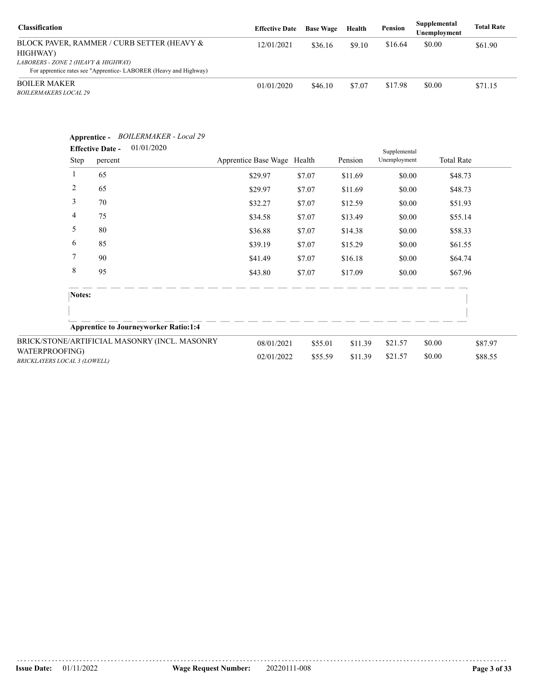| <b>Classification</b>                                                                                   | <b>Effective Date</b> | <b>Base Wage</b> | Health | Pension | Supplemental<br>Unemployment | <b>Total Rate</b> |
|---------------------------------------------------------------------------------------------------------|-----------------------|------------------|--------|---------|------------------------------|-------------------|
| BLOCK PAVER, RAMMER / CURB SETTER (HEAVY &<br>HIGHWAY)                                                  | 12/01/2021            | \$36.16          | \$9.10 | \$16.64 | \$0.00                       | \$61.90           |
| LABORERS - ZONE 2 (HEAVY & HIGHWAY)<br>For apprentice rates see "Apprentice-LABORER (Heavy and Highway) |                       |                  |        |         |                              |                   |
| <b>BOILER MAKER</b><br><b>BOILERMAKERS LOCAL 29</b>                                                     | 01/01/2020            | \$46.10          | \$7.07 | \$17.98 | \$0.00                       | \$71.15           |

|                                                       | Apprentice -<br><b>Effective Date -</b><br>Step<br>percent | <b>BOILERMAKER</b> - Local 29<br>01/01/2020   | Apprentice Base Wage Health |         | Pension | Supplemental<br>Unemployment | <b>Total Rate</b> |         |
|-------------------------------------------------------|------------------------------------------------------------|-----------------------------------------------|-----------------------------|---------|---------|------------------------------|-------------------|---------|
|                                                       | $\mathbf{1}$<br>65                                         |                                               | \$29.97                     | \$7.07  | \$11.69 | \$0.00                       |                   | \$48.73 |
|                                                       | 2<br>65                                                    |                                               | \$29.97                     | \$7.07  | \$11.69 | \$0.00                       |                   | \$48.73 |
|                                                       | 3<br>70                                                    |                                               | \$32.27                     | \$7.07  | \$12.59 | \$0.00                       |                   | \$51.93 |
|                                                       | 4<br>75                                                    |                                               | \$34.58                     | \$7.07  | \$13.49 | \$0.00                       |                   | \$55.14 |
|                                                       | 5<br>80                                                    |                                               | \$36.88                     | \$7.07  | \$14.38 | \$0.00                       |                   | \$58.33 |
|                                                       | 6<br>85                                                    |                                               | \$39.19                     | \$7.07  | \$15.29 | \$0.00                       |                   | \$61.55 |
|                                                       | $\overline{7}$<br>90                                       |                                               | \$41.49                     | \$7.07  | \$16.18 | \$0.00                       |                   | \$64.74 |
|                                                       | 8<br>95                                                    |                                               | \$43.80                     | \$7.07  | \$17.09 | \$0.00                       |                   | \$67.96 |
|                                                       | Notes:                                                     |                                               |                             |         |         |                              |                   |         |
|                                                       |                                                            | <b>Apprentice to Journeyworker Ratio:1:4</b>  |                             |         |         |                              |                   |         |
|                                                       |                                                            | BRICK/STONE/ARTIFICIAL MASONRY (INCL. MASONRY | 08/01/2021                  | \$55.01 | \$11.39 | \$21.57                      | \$0.00            | \$87.97 |
| WATERPROOFING)<br><b>BRICKLAYERS LOCAL 3 (LOWELL)</b> |                                                            |                                               | 02/01/2022                  | \$55.59 | \$11.39 | \$21.57                      | \$0.00            | \$88.55 |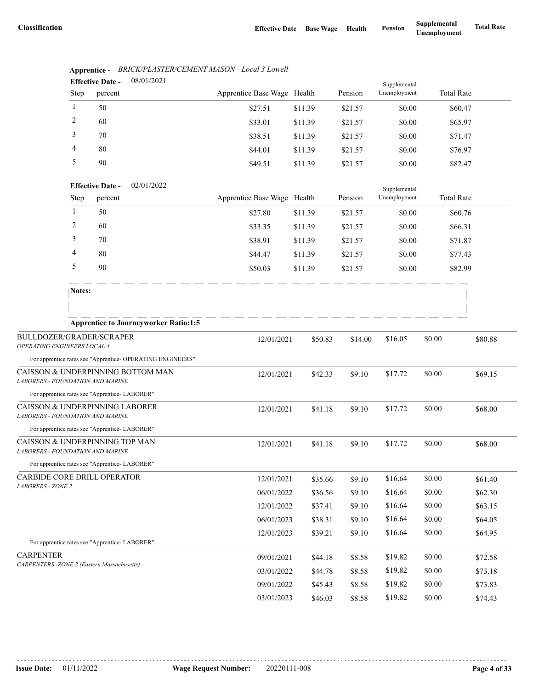|                                                                                          |              | <b>Effective Date -</b> | 08/01/2021                                                 |                             |         |         | Supplemental |                   |         |
|------------------------------------------------------------------------------------------|--------------|-------------------------|------------------------------------------------------------|-----------------------------|---------|---------|--------------|-------------------|---------|
|                                                                                          | Step         | percent                 |                                                            | Apprentice Base Wage Health |         | Pension | Unemployment | <b>Total Rate</b> |         |
|                                                                                          | 1            | 50                      |                                                            | \$27.51                     | \$11.39 | \$21.57 | \$0.00       | \$60.47           |         |
|                                                                                          | 2            | 60                      |                                                            | \$33.01                     | \$11.39 | \$21.57 | \$0.00       | \$65.97           |         |
|                                                                                          | 3            | 70                      |                                                            | \$38.51                     | \$11.39 | \$21.57 | \$0.00       | \$71.47           |         |
|                                                                                          | 4            | 80                      |                                                            | \$44.01                     | \$11.39 | \$21.57 | \$0.00       | \$76.97           |         |
|                                                                                          | 5            | 90                      |                                                            | \$49.51                     | \$11.39 | \$21.57 | \$0.00       | \$82.47           |         |
|                                                                                          |              | <b>Effective Date -</b> | 02/01/2022                                                 |                             |         |         | Supplemental |                   |         |
|                                                                                          | <b>Step</b>  | percent                 |                                                            | Apprentice Base Wage Health |         | Pension | Unemployment | <b>Total Rate</b> |         |
|                                                                                          | $\mathbf{1}$ | 50                      |                                                            | \$27.80                     | \$11.39 | \$21.57 | \$0.00       | \$60.76           |         |
|                                                                                          | 2            | 60                      |                                                            | \$33.35                     | \$11.39 | \$21.57 | \$0.00       | \$66.31           |         |
|                                                                                          | 3            | 70                      |                                                            | \$38.91                     | \$11.39 | \$21.57 | \$0.00       | \$71.87           |         |
|                                                                                          | 4            | 80                      |                                                            | \$44.47                     | \$11.39 | \$21.57 | \$0.00       | \$77.43           |         |
|                                                                                          | 5            | 90                      |                                                            | \$50.03                     | \$11.39 | \$21.57 | \$0.00       | \$82.99           |         |
|                                                                                          | Notes:       |                         |                                                            |                             |         |         |              |                   |         |
|                                                                                          |              |                         |                                                            |                             |         |         |              |                   |         |
|                                                                                          |              |                         | <b>Apprentice to Journeyworker Ratio:1:5</b>               |                             |         |         |              |                   |         |
| BULLDOZER/GRADER/SCRAPER                                                                 |              |                         |                                                            | 12/01/2021                  | \$50.83 | \$14.00 | \$16.05      | \$0.00            | \$80.88 |
| OPERATING ENGINEERS LOCAL 4                                                              |              |                         |                                                            |                             |         |         |              |                   |         |
| CAISSON & UNDERPINNING BOTTOM MAN                                                        |              |                         | For apprentice rates see "Apprentice- OPERATING ENGINEERS" |                             |         |         |              |                   |         |
| LABORERS - FOUNDATION AND MARINE                                                         |              |                         |                                                            | 12/01/2021                  | \$42.33 | \$9.10  | \$17.72      | \$0.00            | \$69.15 |
| For apprentice rates see "Apprentice-LABORER"                                            |              |                         |                                                            |                             |         |         |              |                   |         |
| CAISSON & UNDERPINNING LABORER                                                           |              |                         |                                                            | 12/01/2021                  | \$41.18 | \$9.10  | \$17.72      | \$0.00            | \$68.00 |
| <b>LABORERS - FOUNDATION AND MARINE</b><br>For apprentice rates see "Apprentice-LABORER" |              |                         |                                                            |                             |         |         |              |                   |         |
| CAISSON & UNDERPINNING TOP MAN<br>LABORERS - FOUNDATION AND MARINE                       |              |                         |                                                            | 12/01/2021                  | \$41.18 | \$9.10  | \$17.72      | \$0.00            | \$68.00 |
| For apprentice rates see "Apprentice-LABORER"                                            |              |                         |                                                            |                             |         |         |              |                   |         |
| CARBIDE CORE DRILL OPERATOR                                                              |              |                         |                                                            | 12/01/2021                  | \$35.66 | \$9.10  | \$16.64      | \$0.00            | \$61.40 |
| <b>LABORERS - ZONE 2</b>                                                                 |              |                         |                                                            | 06/01/2022                  | \$36.56 | \$9.10  | \$16.64      | \$0.00            | \$62.30 |
|                                                                                          |              |                         |                                                            | 12/01/2022                  | \$37.41 | \$9.10  | \$16.64      | \$0.00            | \$63.15 |
|                                                                                          |              |                         |                                                            | 06/01/2023                  | \$38.31 | \$9.10  | \$16.64      | \$0.00            | \$64.05 |
|                                                                                          |              |                         |                                                            | 12/01/2023                  | \$39.21 | \$9.10  | \$16.64      | \$0.00            | \$64.95 |
| For apprentice rates see "Apprentice-LABORER"                                            |              |                         |                                                            |                             |         |         |              |                   |         |
| <b>CARPENTER</b>                                                                         |              |                         |                                                            | 09/01/2021                  | \$44.18 | \$8.58  | \$19.82      | \$0.00            | \$72.58 |
| CARPENTERS - ZONE 2 (Eastern Massachusetts)                                              |              |                         |                                                            | 03/01/2022                  | \$44.78 | \$8.58  | \$19.82      | \$0.00            | \$73.18 |
|                                                                                          |              |                         |                                                            | 09/01/2022                  | \$45.43 | \$8.58  | \$19.82      | \$0.00            | \$73.83 |
|                                                                                          |              |                         |                                                            | 03/01/2023                  | \$46.03 | \$8.58  | \$19.82      | \$0.00            | \$74.43 |

#### **Apprentice -** *BRICK/PLASTER/CEMENT MASON - Local 3 Lowell* 08/01/2021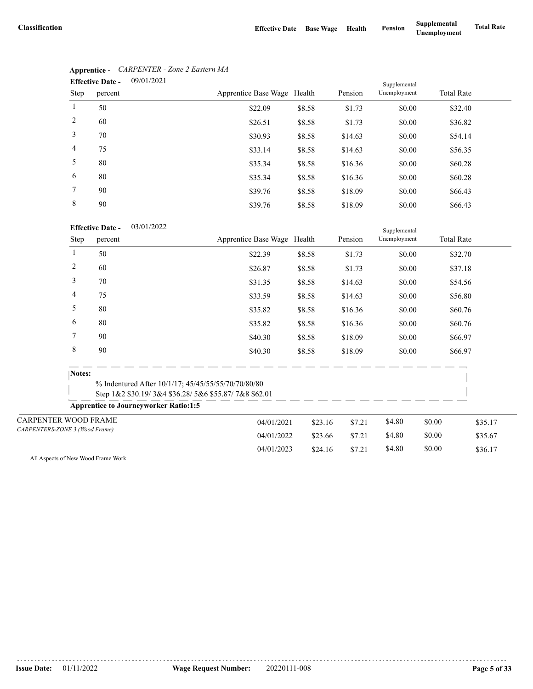|      | 09/01/2021<br><b>Effective Date -</b> |                             |        |         | Supplemental |                   |
|------|---------------------------------------|-----------------------------|--------|---------|--------------|-------------------|
| Step | percent                               | Apprentice Base Wage Health |        | Pension | Unemployment | <b>Total Rate</b> |
| 1    | 50                                    | \$22.09                     | \$8.58 | \$1.73  | \$0.00       | \$32.40           |
| 2    | 60                                    | \$26.51                     | \$8.58 | \$1.73  | \$0.00       | \$36.82           |
| 3    | 70                                    | \$30.93                     | \$8.58 | \$14.63 | \$0.00       | \$54.14           |
| 4    | 75                                    | \$33.14                     | \$8.58 | \$14.63 | \$0.00       | \$56.35           |
| 5    | 80                                    | \$35.34                     | \$8.58 | \$16.36 | \$0.00       | \$60.28           |
| 6    | 80                                    | \$35.34                     | \$8.58 | \$16.36 | \$0.00       | \$60.28           |
| 7    | 90                                    | \$39.76                     | \$8.58 | \$18.09 | \$0.00       | \$66.43           |
| 8    | 90                                    | \$39.76                     | \$8.58 | \$18.09 | \$0.00       | \$66.43           |

# **Apprentice -** *CARPENTER - Zone 2 Eastern MA*

### 03/01/2022 **Effective Date -**

|                                                                                                                                                             | <b>Effective Date -</b><br>03/01/2022                                                                       |                             |         |         | Supplemental |        |                   |         |
|-------------------------------------------------------------------------------------------------------------------------------------------------------------|-------------------------------------------------------------------------------------------------------------|-----------------------------|---------|---------|--------------|--------|-------------------|---------|
|                                                                                                                                                             | percent                                                                                                     | Apprentice Base Wage Health |         | Pension | Unemployment |        | <b>Total Rate</b> |         |
| 1                                                                                                                                                           | 50                                                                                                          | \$22.39                     | \$8.58  | \$1.73  | \$0.00       |        | \$32.70           |         |
|                                                                                                                                                             | 60                                                                                                          | \$26.87                     | \$8.58  | \$1.73  | \$0.00       |        | \$37.18           |         |
|                                                                                                                                                             | 70                                                                                                          | \$31.35                     | \$8.58  | \$14.63 | \$0.00       |        | \$54.56           |         |
|                                                                                                                                                             | 75                                                                                                          | \$33.59                     | \$8.58  | \$14.63 | \$0.00       |        | \$56.80           |         |
|                                                                                                                                                             | 80                                                                                                          | \$35.82                     | \$8.58  | \$16.36 | \$0.00       |        | \$60.76           |         |
|                                                                                                                                                             | 80                                                                                                          | \$35.82                     | \$8.58  | \$16.36 | \$0.00       |        | \$60.76           |         |
|                                                                                                                                                             | 90                                                                                                          | \$40.30                     | \$8.58  | \$18.09 | \$0.00       |        | \$66.97           |         |
|                                                                                                                                                             | 90                                                                                                          | \$40.30                     | \$8.58  | \$18.09 | \$0.00       |        | \$66.97           |         |
|                                                                                                                                                             |                                                                                                             |                             |         |         |              |        |                   |         |
| Step<br>2<br>3<br>4<br>5<br>6<br>7<br>8<br>Notes:<br><b>Apprentice to Journeyworker Ratio:1:5</b><br>CARPENTER WOOD FRAME<br>CARPENTERS-ZONE 3 (Wood Frame) | % Indentured After 10/1/17; 45/45/55/55/70/70/80/80<br>Step 1&2 \$30.19/3&4 \$36.28/5&6 \$55.87/7&8 \$62.01 |                             |         |         |              |        |                   |         |
|                                                                                                                                                             |                                                                                                             |                             |         |         |              |        |                   |         |
|                                                                                                                                                             |                                                                                                             | 04/01/2021                  | \$23.16 | \$7.21  | \$4.80       | \$0.00 |                   | \$35.17 |
|                                                                                                                                                             |                                                                                                             | 04/01/2022                  | \$23.66 | \$7.21  | \$4.80       | \$0.00 |                   | \$35.67 |
|                                                                                                                                                             |                                                                                                             | 04/01/2023                  | \$24.16 | \$7.21  | \$4.80       | \$0.00 |                   | \$36.17 |

All Aspects of New Wood Frame Work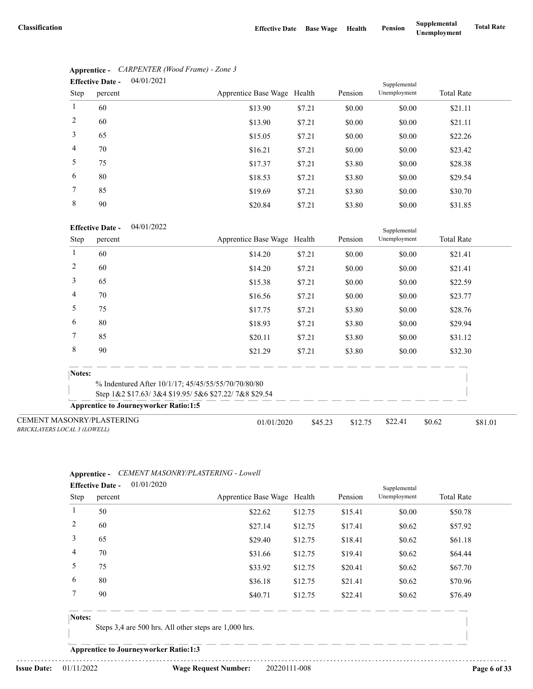|                | 04/01/2021<br><b>Effective Date -</b> |                             |        |         | Supplemental |                   |
|----------------|---------------------------------------|-----------------------------|--------|---------|--------------|-------------------|
| Step           | percent                               | Apprentice Base Wage Health |        | Pension | Unemployment | <b>Total Rate</b> |
| $\mathbf{1}$   | 60                                    | \$13.90                     | \$7.21 | \$0.00  | \$0.00       | \$21.11           |
| 2              | 60                                    | \$13.90                     | \$7.21 | \$0.00  | \$0.00       | \$21.11           |
| 3              | 65                                    | \$15.05                     | \$7.21 | \$0.00  | \$0.00       | \$22.26           |
| $\overline{4}$ | 70                                    | \$16.21                     | \$7.21 | \$0.00  | \$0.00       | \$23.42           |
| 5              | 75                                    | \$17.37                     | \$7.21 | \$3.80  | \$0.00       | \$28.38           |
| 6              | 80                                    | \$18.53                     | \$7.21 | \$3.80  | \$0.00       | \$29.54           |
| 7              | 85                                    | \$19.69                     | \$7.21 | \$3.80  | \$0.00       | \$30.70           |
| 8              | 90                                    | \$20.84                     | \$7.21 | \$3.80  | \$0.00       | \$31.85           |

# **Apprentice -** *CARPENTER (Wood Frame) - Zone 3*

### 04/01/2022 **Effective Date -**

|                                                                         | <b>Effective Date -</b><br>04/01/2022        |                                                      |         |         | Supplemental |                   |         |
|-------------------------------------------------------------------------|----------------------------------------------|------------------------------------------------------|---------|---------|--------------|-------------------|---------|
| Step                                                                    | percent                                      | Apprentice Base Wage Health                          |         | Pension | Unemployment | <b>Total Rate</b> |         |
|                                                                         | 60                                           | \$14.20                                              | \$7.21  | \$0.00  | \$0.00       | \$21.41           |         |
| 2                                                                       | 60                                           | \$14.20                                              | \$7.21  | \$0.00  | \$0.00       | \$21.41           |         |
| 3                                                                       | 65                                           | \$15.38                                              | \$7.21  | \$0.00  | \$0.00       | \$22.59           |         |
| 4                                                                       | 70                                           | \$16.56                                              | \$7.21  | \$0.00  | \$0.00       | \$23.77           |         |
| 5                                                                       | 75                                           | \$17.75                                              | \$7.21  | \$3.80  | \$0.00       | \$28.76           |         |
| 6                                                                       | 80                                           | \$18.93                                              | \$7.21  | \$3.80  | \$0.00       | \$29.94           |         |
| 7                                                                       | 85                                           | \$20.11                                              | \$7.21  | \$3.80  | \$0.00       | \$31.12           |         |
| 8                                                                       | 90                                           | \$21.29                                              | \$7.21  | \$3.80  | \$0.00       | \$32.30           |         |
| Notes:                                                                  |                                              |                                                      |         |         |              |                   |         |
|                                                                         |                                              | % Indentured After 10/1/17; 45/45/55/55/70/70/80/80  |         |         |              |                   |         |
|                                                                         |                                              | Step 1&2 \$17.63/3&4 \$19.95/5&6 \$27.22/7&8 \$29.54 |         |         |              |                   |         |
|                                                                         | <b>Apprentice to Journeyworker Ratio:1:5</b> |                                                      |         |         |              |                   |         |
| <b>CEMENT MASONRY/PLASTERING</b><br><b>BRICKLAYERS LOCAL 3 (LOWELL)</b> |                                              | 01/01/2020                                           | \$45.23 | \$12.75 | \$22.41      | \$0.62            | \$81.01 |

## **Apprentice -** *CEMENT MASONRY/PLASTERING - Lowell*

|      | <b>Effective Date -</b> | 01/01/2020 |                             | Supplemental |         |              |                   |
|------|-------------------------|------------|-----------------------------|--------------|---------|--------------|-------------------|
| Step | percent                 |            | Apprentice Base Wage Health |              | Pension | Unemployment | <b>Total Rate</b> |
| -1   | 50                      |            | \$22.62                     | \$12.75      | \$15.41 | \$0.00       | \$50.78           |
| 2    | 60                      |            | \$27.14                     | \$12.75      | \$17.41 | \$0.62       | \$57.92           |
| 3    | 65                      |            | \$29.40                     | \$12.75      | \$18.41 | \$0.62       | \$61.18           |
| 4    | 70                      |            | \$31.66                     | \$12.75      | \$19.41 | \$0.62       | \$64.44           |
| 5    | 75                      |            | \$33.92                     | \$12.75      | \$20.41 | \$0.62       | \$67.70           |
| 6    | 80                      |            | \$36.18                     | \$12.75      | \$21.41 | \$0.62       | \$70.96           |
|      | 90                      |            | \$40.71                     | \$12.75      | \$22.41 | \$0.62       | \$76.49           |
|      |                         |            |                             |              |         |              |                   |

## **Notes:**

Steps 3,4 are 500 hrs. All other steps are 1,000 hrs.

**Apprentice to Journeyworker Ratio:1:3**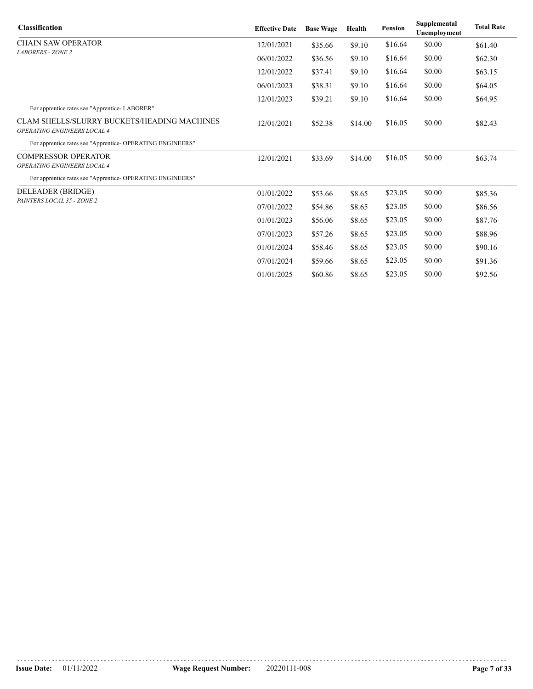| <b>Classification</b>                                                      | <b>Effective Date</b> | <b>Base Wage</b> | Health  | Pension | Supplemental<br><b>Unemployment</b> | <b>Total Rate</b> |
|----------------------------------------------------------------------------|-----------------------|------------------|---------|---------|-------------------------------------|-------------------|
| <b>CHAIN SAW OPERATOR</b>                                                  | 12/01/2021            | \$35.66          | \$9.10  | \$16.64 | \$0.00                              | \$61.40           |
| <b>LABORERS - ZONE 2</b>                                                   | 06/01/2022            | \$36.56          | \$9.10  | \$16.64 | \$0.00                              | \$62.30           |
|                                                                            | 12/01/2022            | \$37.41          | \$9.10  | \$16.64 | \$0.00                              | \$63.15           |
|                                                                            | 06/01/2023            | \$38.31          | \$9.10  | \$16.64 | \$0.00                              | \$64.05           |
|                                                                            | 12/01/2023            | \$39.21          | \$9.10  | \$16.64 | \$0.00                              | \$64.95           |
| For apprentice rates see "Apprentice-LABORER"                              |                       |                  |         |         |                                     |                   |
| CLAM SHELLS/SLURRY BUCKETS/HEADING MACHINES<br>OPERATING ENGINEERS LOCAL 4 | 12/01/2021            | \$52.38          | \$14.00 | \$16.05 | \$0.00                              | \$82.43           |
| For apprentice rates see "Apprentice- OPERATING ENGINEERS"                 |                       |                  |         |         |                                     |                   |
| <b>COMPRESSOR OPERATOR</b>                                                 | 12/01/2021            | \$33.69          | \$14.00 | \$16.05 | \$0.00                              | \$63.74           |
| OPERATING ENGINEERS LOCAL 4                                                |                       |                  |         |         |                                     |                   |
| For apprentice rates see "Apprentice- OPERATING ENGINEERS"                 |                       |                  |         |         |                                     |                   |
| DELEADER (BRIDGE)                                                          | 01/01/2022            | \$53.66          | \$8.65  | \$23.05 | \$0.00                              | \$85.36           |
| PAINTERS LOCAL 35 - ZONE 2                                                 | 07/01/2022            | \$54.86          | \$8.65  | \$23.05 | \$0.00                              | \$86.56           |
|                                                                            | 01/01/2023            | \$56.06          | \$8.65  | \$23.05 | \$0.00                              | \$87.76           |
|                                                                            | 07/01/2023            | \$57.26          | \$8.65  | \$23.05 | \$0.00                              | \$88.96           |
|                                                                            | 01/01/2024            | \$58.46          | \$8.65  | \$23.05 | \$0.00                              | \$90.16           |
|                                                                            | 07/01/2024            | \$59.66          | \$8.65  | \$23.05 | \$0.00                              | \$91.36           |
|                                                                            | 01/01/2025            | \$60.86          | \$8.65  | \$23.05 | \$0.00                              | \$92.56           |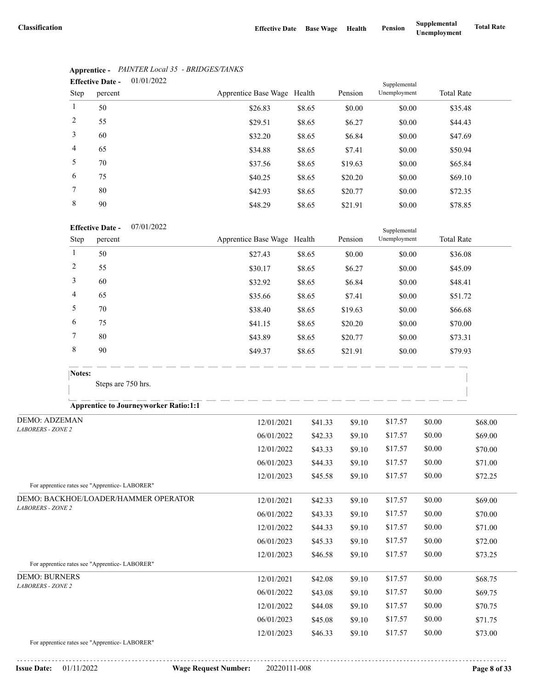|                | 01/01/2022<br><b>Effective Date -</b><br>Supplemental |                             |        |         |              |                   |  |  |  |
|----------------|-------------------------------------------------------|-----------------------------|--------|---------|--------------|-------------------|--|--|--|
| Step           | percent                                               | Apprentice Base Wage Health |        | Pension | Unemployment | <b>Total Rate</b> |  |  |  |
| 1              | 50                                                    | \$26.83                     | \$8.65 | \$0.00  | \$0.00       | \$35.48           |  |  |  |
| 2              | 55                                                    | \$29.51                     | \$8.65 | \$6.27  | \$0.00       | \$44.43           |  |  |  |
| 3              | 60                                                    | \$32.20                     | \$8.65 | \$6.84  | \$0.00       | \$47.69           |  |  |  |
| $\overline{4}$ | 65                                                    | \$34.88                     | \$8.65 | \$7.41  | \$0.00       | \$50.94           |  |  |  |
| 5              | 70                                                    | \$37.56                     | \$8.65 | \$19.63 | \$0.00       | \$65.84           |  |  |  |
| 6              | 75                                                    | \$40.25                     | \$8.65 | \$20.20 | \$0.00       | \$69.10           |  |  |  |
| $\tau$         | 80                                                    | \$42.93                     | \$8.65 | \$20.77 | \$0.00       | \$72.35           |  |  |  |
| 8              | 90                                                    | \$48.29                     | \$8.65 | \$21.91 | \$0.00       | \$78.85           |  |  |  |

# **Apprentice -** *PAINTER Local 35 - BRIDGES/TANKS*

### 07/01/2022 **Effective Date -**

| <b>Effective Date -</b> |         | 0//01/2022 |                             |        |         | Supplemental |                   |
|-------------------------|---------|------------|-----------------------------|--------|---------|--------------|-------------------|
| Step                    | percent |            | Apprentice Base Wage Health |        | Pension | Unemployment | <b>Total Rate</b> |
|                         | 50      |            | \$27.43                     | \$8.65 | \$0.00  | \$0.00       | \$36.08           |
| 2                       | 55      |            | \$30.17                     | \$8.65 | \$6.27  | \$0.00       | \$45.09           |
| 3                       | 60      |            | \$32.92                     | \$8.65 | \$6.84  | \$0.00       | \$48.41           |
| 4                       | 65      |            | \$35.66                     | \$8.65 | \$7.41  | \$0.00       | \$51.72           |
| 5                       | 70      |            | \$38.40                     | \$8.65 | \$19.63 | \$0.00       | \$66.68           |
| 6                       | 75      |            | \$41.15                     | \$8.65 | \$20.20 | \$0.00       | \$70.00           |
| 7                       | 80      |            | \$43.89                     | \$8.65 | \$20.77 | \$0.00       | \$73.31           |
| 8                       | 90      |            | \$49.37                     | \$8.65 | \$21.91 | \$0.00       | \$79.93           |

Steps are 750 hrs.

# **Apprentice to Journeyworker Ratio:1:1**

| <b>DEMO: ADZEMAN</b>                                          | 12/01/2021 | \$41.33 | \$9.10 | \$17.57 | \$0.00 | \$68.00 |
|---------------------------------------------------------------|------------|---------|--------|---------|--------|---------|
| <b>LABORERS - ZONE 2</b>                                      | 06/01/2022 | \$42.33 | \$9.10 | \$17.57 | \$0.00 | \$69.00 |
|                                                               | 12/01/2022 | \$43.33 | \$9.10 | \$17.57 | \$0.00 | \$70.00 |
|                                                               | 06/01/2023 | \$44.33 | \$9.10 | \$17.57 | \$0.00 | \$71.00 |
|                                                               | 12/01/2023 | \$45.58 | \$9.10 | \$17.57 | \$0.00 | \$72.25 |
| For apprentice rates see "Apprentice-LABORER"                 |            |         |        |         |        |         |
| DEMO: BACKHOE/LOADER/HAMMER OPERATOR                          | 12/01/2021 | \$42.33 | \$9.10 | \$17.57 | \$0.00 | \$69.00 |
| <b>LABORERS - ZONE 2</b>                                      | 06/01/2022 | \$43.33 | \$9.10 | \$17.57 | \$0.00 | \$70.00 |
|                                                               | 12/01/2022 | \$44.33 | \$9.10 | \$17.57 | \$0.00 | \$71.00 |
|                                                               | 06/01/2023 | \$45.33 | \$9.10 | \$17.57 | \$0.00 | \$72.00 |
|                                                               | 12/01/2023 | \$46.58 | \$9.10 | \$17.57 | \$0.00 | \$73.25 |
| For apprentice rates see "Apprentice-LABORER"                 |            |         |        |         |        |         |
| <b>DEMO: BURNERS</b>                                          | 12/01/2021 | \$42.08 | \$9.10 | \$17.57 | \$0.00 | \$68.75 |
| <b>LABORERS - ZONE 2</b>                                      | 06/01/2022 | \$43.08 | \$9.10 | \$17.57 | \$0.00 | \$69.75 |
|                                                               | 12/01/2022 | \$44.08 | \$9.10 | \$17.57 | \$0.00 | \$70.75 |
|                                                               | 06/01/2023 | \$45.08 | \$9.10 | \$17.57 | \$0.00 | \$71.75 |
|                                                               | 12/01/2023 | \$46.33 | \$9.10 | \$17.57 | \$0.00 | \$73.00 |
| $F_{\text{tot}}$ conservative active construction of a DODED# |            |         |        |         |        |         |

For apprentice rates see "Apprentice- LABORER"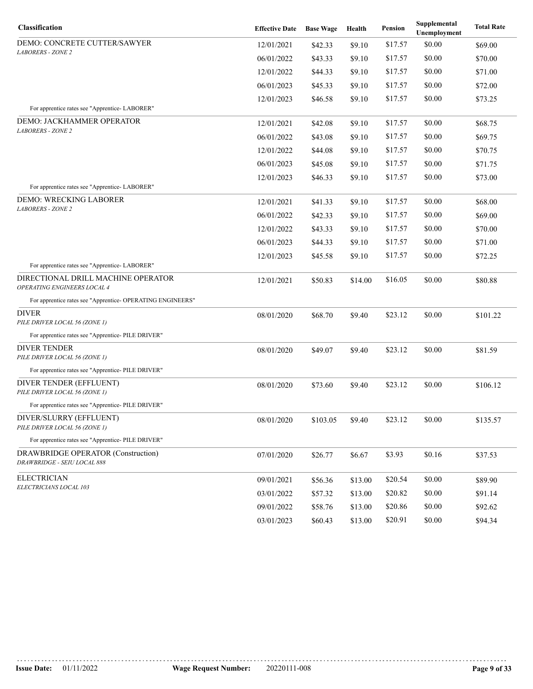| Classification                                                    | <b>Effective Date</b> | <b>Base Wage</b> | Health  | Pension | Supplemental<br>Unemployment | <b>Total Rate</b> |
|-------------------------------------------------------------------|-----------------------|------------------|---------|---------|------------------------------|-------------------|
| DEMO: CONCRETE CUTTER/SAWYER                                      | 12/01/2021            | \$42.33          | \$9.10  | \$17.57 | \$0.00                       | \$69.00           |
| <b>LABORERS - ZONE 2</b>                                          | 06/01/2022            | \$43.33          | \$9.10  | \$17.57 | \$0.00                       | \$70.00           |
|                                                                   | 12/01/2022            | \$44.33          | \$9.10  | \$17.57 | \$0.00                       | \$71.00           |
|                                                                   | 06/01/2023            | \$45.33          | \$9.10  | \$17.57 | \$0.00                       | \$72.00           |
|                                                                   | 12/01/2023            | \$46.58          | \$9.10  | \$17.57 | \$0.00                       | \$73.25           |
| For apprentice rates see "Apprentice- LABORER"                    |                       |                  |         |         |                              |                   |
| DEMO: JACKHAMMER OPERATOR<br><b>LABORERS - ZONE 2</b>             | 12/01/2021            | \$42.08          | \$9.10  | \$17.57 | \$0.00                       | \$68.75           |
|                                                                   | 06/01/2022            | \$43.08          | \$9.10  | \$17.57 | \$0.00                       | \$69.75           |
|                                                                   | 12/01/2022            | \$44.08          | \$9.10  | \$17.57 | \$0.00                       | \$70.75           |
|                                                                   | 06/01/2023            | \$45.08          | \$9.10  | \$17.57 | \$0.00                       | \$71.75           |
|                                                                   | 12/01/2023            | \$46.33          | \$9.10  | \$17.57 | \$0.00                       | \$73.00           |
| For apprentice rates see "Apprentice- LABORER"                    |                       |                  |         |         |                              |                   |
| DEMO: WRECKING LABORER<br><b>LABORERS - ZONE 2</b>                | 12/01/2021            | \$41.33          | \$9.10  | \$17.57 | \$0.00                       | \$68.00           |
|                                                                   | 06/01/2022            | \$42.33          | \$9.10  | \$17.57 | \$0.00                       | \$69.00           |
|                                                                   | 12/01/2022            | \$43.33          | \$9.10  | \$17.57 | \$0.00                       | \$70.00           |
|                                                                   | 06/01/2023            | \$44.33          | \$9.10  | \$17.57 | \$0.00                       | \$71.00           |
|                                                                   | 12/01/2023            | \$45.58          | \$9.10  | \$17.57 | \$0.00                       | \$72.25           |
| For apprentice rates see "Apprentice-LABORER"                     |                       |                  |         |         |                              |                   |
| DIRECTIONAL DRILL MACHINE OPERATOR<br>OPERATING ENGINEERS LOCAL 4 | 12/01/2021            | \$50.83          | \$14.00 | \$16.05 | \$0.00                       | \$80.88           |
| For apprentice rates see "Apprentice- OPERATING ENGINEERS"        |                       |                  |         |         |                              |                   |
| DIVER<br>PILE DRIVER LOCAL 56 (ZONE 1)                            | 08/01/2020            | \$68.70          | \$9.40  | \$23.12 | \$0.00                       | \$101.22          |
| For apprentice rates see "Apprentice- PILE DRIVER"                |                       |                  |         |         |                              |                   |
| <b>DIVER TENDER</b><br>PILE DRIVER LOCAL 56 (ZONE 1)              | 08/01/2020            | \$49.07          | \$9.40  | \$23.12 | \$0.00                       | \$81.59           |
| For apprentice rates see "Apprentice- PILE DRIVER"                |                       |                  |         |         |                              |                   |
| DIVER TENDER (EFFLUENT)<br>PILE DRIVER LOCAL 56 (ZONE 1)          | 08/01/2020            | \$73.60          | \$9.40  | \$23.12 | \$0.00                       | \$106.12          |
| For apprentice rates see "Apprentice- PILE DRIVER"                |                       |                  |         |         |                              |                   |
| DIVER/SLURRY (EFFLUENT)<br>PILE DRIVER LOCAL 56 (ZONE 1)          | 08/01/2020            | \$103.05         | \$9.40  | \$23.12 | \$0.00                       | \$135.57          |
| For apprentice rates see "Apprentice- PILE DRIVER"                |                       |                  |         |         |                              |                   |
| DRAWBRIDGE OPERATOR (Construction)<br>DRAWBRIDGE - SEIU LOCAL 888 | 07/01/2020            | \$26.77          | \$6.67  | \$3.93  | \$0.16                       | \$37.53           |
| <b>ELECTRICIAN</b><br>ELECTRICIANS LOCAL 103                      | 09/01/2021            | \$56.36          | \$13.00 | \$20.54 | \$0.00                       | \$89.90           |
|                                                                   | 03/01/2022            | \$57.32          | \$13.00 | \$20.82 | \$0.00                       | \$91.14           |
|                                                                   | 09/01/2022            | \$58.76          | \$13.00 | \$20.86 | \$0.00                       | \$92.62           |
|                                                                   | 03/01/2023            | \$60.43          | \$13.00 | \$20.91 | \$0.00                       | \$94.34           |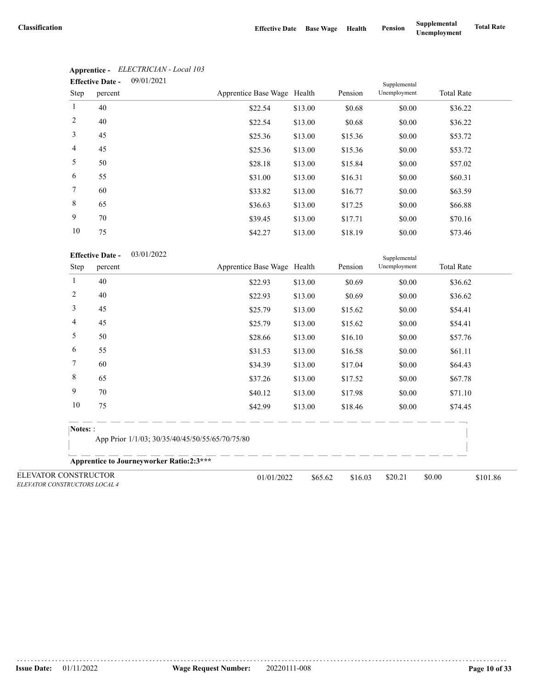|                | 09/01/2021<br><b>Effective Date -</b> |                             |         | Supplemental |              |                   |
|----------------|---------------------------------------|-----------------------------|---------|--------------|--------------|-------------------|
| Step           | percent                               | Apprentice Base Wage Health |         | Pension      | Unemployment | <b>Total Rate</b> |
| $\mathbf{1}$   | 40                                    | \$22.54                     | \$13.00 | \$0.68       | \$0.00       | \$36.22           |
| 2              | 40                                    | \$22.54                     | \$13.00 | \$0.68       | \$0.00       | \$36.22           |
| 3              | 45                                    | \$25.36                     | \$13.00 | \$15.36      | \$0.00       | \$53.72           |
| $\overline{4}$ | 45                                    | \$25.36                     | \$13.00 | \$15.36      | \$0.00       | \$53.72           |
| 5              | 50                                    | \$28.18                     | \$13.00 | \$15.84      | \$0.00       | \$57.02           |
| 6              | 55                                    | \$31.00                     | \$13.00 | \$16.31      | \$0.00       | \$60.31           |
| $\tau$         | 60                                    | \$33.82                     | \$13.00 | \$16.77      | \$0.00       | \$63.59           |
| 8              | 65                                    | \$36.63                     | \$13.00 | \$17.25      | \$0.00       | \$66.88           |
| 9              | 70                                    | \$39.45                     | \$13.00 | \$17.71      | \$0.00       | \$70.16           |
| 10             | 75                                    | \$42.27                     | \$13.00 | \$18.19      | \$0.00       | \$73.46           |

# **Apprentice -** *ELECTRICIAN - Local 103*

| <b>Effective Date -</b> | 03/01/2022 |
|-------------------------|------------|
|-------------------------|------------|

|                                                       | <b>Effective Date -</b><br>03/01/2022 |                                                 | Supplemental |         |              |                    |  |  |
|-------------------------------------------------------|---------------------------------------|-------------------------------------------------|--------------|---------|--------------|--------------------|--|--|
| Step                                                  | percent                               | Apprentice Base Wage Health                     |              | Pension | Unemployment | <b>Total Rate</b>  |  |  |
| 1                                                     | 40                                    | \$22.93                                         | \$13.00      | \$0.69  | \$0.00       | \$36.62            |  |  |
| $\overline{c}$                                        | 40                                    | \$22.93                                         | \$13.00      | \$0.69  | \$0.00       | \$36.62            |  |  |
| 3                                                     | 45                                    | \$25.79                                         | \$13.00      | \$15.62 | \$0.00       | \$54.41            |  |  |
| 4                                                     | 45                                    | \$25.79                                         | \$13.00      | \$15.62 | \$0.00       | \$54.41            |  |  |
| 5                                                     | 50                                    | \$28.66                                         | \$13.00      | \$16.10 | \$0.00       | \$57.76            |  |  |
| 6                                                     | 55                                    | \$31.53                                         | \$13.00      | \$16.58 | \$0.00       | \$61.11            |  |  |
| 7                                                     | 60                                    | \$34.39                                         | \$13.00      | \$17.04 | \$0.00       | \$64.43            |  |  |
| 8                                                     | 65                                    | \$37.26                                         | \$13.00      | \$17.52 | \$0.00       | \$67.78            |  |  |
| 9                                                     | 70                                    | \$40.12                                         | \$13.00      | \$17.98 | \$0.00       | \$71.10            |  |  |
| 10                                                    | 75                                    | \$42.99                                         | \$13.00      | \$18.46 | \$0.00       | \$74.45            |  |  |
| Notes: :                                              |                                       |                                                 |              |         |              |                    |  |  |
|                                                       |                                       | App Prior 1/1/03; 30/35/40/45/50/55/65/70/75/80 |              |         |              |                    |  |  |
|                                                       |                                       | <b>Apprentice to Journeyworker Ratio:2:3***</b> |              |         |              |                    |  |  |
| ELEVATOR CONSTRUCTOR<br>ELEVATOR CONSTRUCTORS LOCAL 4 |                                       | 01/01/2022                                      | \$65.62      | \$16.03 | \$20.21      | \$0.00<br>\$101.86 |  |  |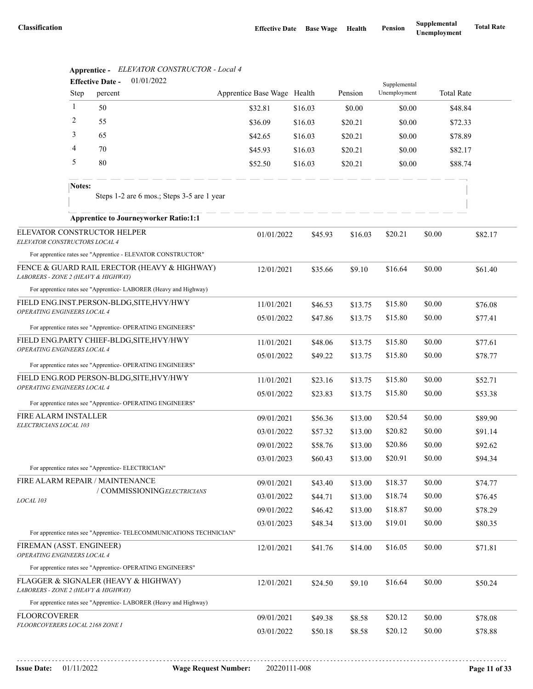|                                                                          |              | 01/01/2022<br><b>Effective Date -</b>                                |                             |                    |                    | Supplemental |        |                   |
|--------------------------------------------------------------------------|--------------|----------------------------------------------------------------------|-----------------------------|--------------------|--------------------|--------------|--------|-------------------|
|                                                                          | Step         | percent                                                              | Apprentice Base Wage Health |                    | Pension            | Unemployment |        | <b>Total Rate</b> |
|                                                                          | $\mathbf{1}$ | 50                                                                   | \$32.81                     | \$16.03            | \$0.00             | \$0.00       |        | \$48.84           |
|                                                                          | 2            | 55                                                                   | \$36.09                     | \$16.03            | \$20.21            | \$0.00       |        | \$72.33           |
|                                                                          | 3            | 65                                                                   | \$42.65                     | \$16.03            | \$20.21            | \$0.00       |        | \$78.89           |
|                                                                          | 4            | 70                                                                   | \$45.93                     | \$16.03            | \$20.21            | \$0.00       |        | \$82.17           |
|                                                                          | 5            | 80                                                                   | \$52.50                     | \$16.03            | \$20.21            | \$0.00       |        | \$88.74           |
|                                                                          | Notes:       | Steps 1-2 are 6 mos.; Steps 3-5 are 1 year                           |                             |                    |                    |              |        |                   |
|                                                                          |              | <b>Apprentice to Journeyworker Ratio:1:1</b>                         |                             |                    |                    |              |        |                   |
| ELEVATOR CONSTRUCTORS LOCAL 4                                            |              | ELEVATOR CONSTRUCTOR HELPER                                          | 01/01/2022                  | \$45.93            | \$16.03            | \$20.21      | \$0.00 | \$82.17           |
|                                                                          |              | For apprentice rates see "Apprentice - ELEVATOR CONSTRUCTOR"         |                             |                    |                    |              |        |                   |
| LABORERS - ZONE 2 (HEAVY & HIGHWAY)                                      |              | FENCE & GUARD RAIL ERECTOR (HEAVY & HIGHWAY)                         | 12/01/2021                  | \$35.66            | \$9.10             | \$16.64      | \$0.00 | \$61.40           |
|                                                                          |              | For apprentice rates see "Apprentice-LABORER (Heavy and Highway)     |                             |                    |                    |              |        |                   |
| FIELD ENG.INST.PERSON-BLDG, SITE, HVY/HWY<br>OPERATING ENGINEERS LOCAL 4 |              |                                                                      | 11/01/2021                  | \$46.53            | \$13.75            | \$15.80      | \$0.00 | \$76.08           |
|                                                                          |              | For apprentice rates see "Apprentice- OPERATING ENGINEERS"           | 05/01/2022                  | \$47.86            | \$13.75            | \$15.80      | \$0.00 | \$77.41           |
| FIELD ENG.PARTY CHIEF-BLDG, SITE, HVY/HWY                                |              |                                                                      | 11/01/2021                  | \$48.06            | \$13.75            | \$15.80      | \$0.00 | \$77.61           |
| OPERATING ENGINEERS LOCAL 4                                              |              |                                                                      | 05/01/2022                  | \$49.22            | \$13.75            | \$15.80      | \$0.00 | \$78.77           |
|                                                                          |              | For apprentice rates see "Apprentice- OPERATING ENGINEERS"           |                             |                    |                    |              |        |                   |
| OPERATING ENGINEERS LOCAL 4                                              |              | FIELD ENG.ROD PERSON-BLDG, SITE, HVY/HWY                             | 11/01/2021                  | \$23.16            | \$13.75            | \$15.80      | \$0.00 | \$52.71           |
|                                                                          |              | For apprentice rates see "Apprentice- OPERATING ENGINEERS"           | 05/01/2022                  | \$23.83            | \$13.75            | \$15.80      | \$0.00 | \$53.38           |
| FIRE ALARM INSTALLER                                                     |              |                                                                      | 09/01/2021                  |                    |                    | \$20.54      | \$0.00 | \$89.90           |
| ELECTRICIANS LOCAL 103                                                   |              |                                                                      | 03/01/2022                  | \$56.36<br>\$57.32 | \$13.00<br>\$13.00 | \$20.82      | \$0.00 | \$91.14           |
|                                                                          |              |                                                                      | 09/01/2022                  | \$58.76            | \$13.00            | \$20.86      | \$0.00 | \$92.62           |
|                                                                          |              |                                                                      | 03/01/2023                  | \$60.43            | \$13.00            | \$20.91      | \$0.00 | \$94.34           |
|                                                                          |              | For apprentice rates see "Apprentice- ELECTRICIAN"                   |                             |                    |                    |              |        |                   |
|                                                                          |              | FIRE ALARM REPAIR / MAINTENANCE                                      | 09/01/2021                  | \$43.40            | \$13.00            | \$18.37      | \$0.00 | \$74.77           |
| LOCAL 103                                                                |              | / COMMISSIONINGELECTRICIANS                                          | 03/01/2022                  | \$44.71            | \$13.00            | \$18.74      | \$0.00 | \$76.45           |
|                                                                          |              |                                                                      | 09/01/2022                  | \$46.42            | \$13.00            | \$18.87      | \$0.00 | \$78.29           |
|                                                                          |              |                                                                      | 03/01/2023                  | \$48.34            | \$13.00            | \$19.01      | \$0.00 | \$80.35           |
|                                                                          |              | For apprentice rates see "Apprentice- TELECOMMUNICATIONS TECHNICIAN" |                             |                    |                    |              |        |                   |
| FIREMAN (ASST. ENGINEER)<br>OPERATING ENGINEERS LOCAL 4                  |              |                                                                      | 12/01/2021                  | \$41.76            | \$14.00            | \$16.05      | \$0.00 | \$71.81           |
|                                                                          |              | For apprentice rates see "Apprentice- OPERATING ENGINEERS"           |                             |                    |                    |              |        |                   |
| LABORERS - ZONE 2 (HEAVY & HIGHWAY)                                      |              | FLAGGER & SIGNALER (HEAVY & HIGHWAY)                                 | 12/01/2021                  | \$24.50            | \$9.10             | \$16.64      | \$0.00 | \$50.24           |
|                                                                          |              | For apprentice rates see "Apprentice-LABORER (Heavy and Highway)     |                             |                    |                    |              |        |                   |
| <b>FLOORCOVERER</b>                                                      |              |                                                                      | 09/01/2021                  | \$49.38            | \$8.58             | \$20.12      | \$0.00 | \$78.08           |
| <i>FLOORCOVERERS LOCAL 2168 ZONE I</i>                                   |              |                                                                      | 03/01/2022                  | \$50.18            | \$8.58             | \$20.12      | \$0.00 | \$78.88           |
|                                                                          |              |                                                                      |                             |                    |                    |              |        |                   |

**Apprentice -** *ELEVATOR CONSTRUCTOR - Local 4*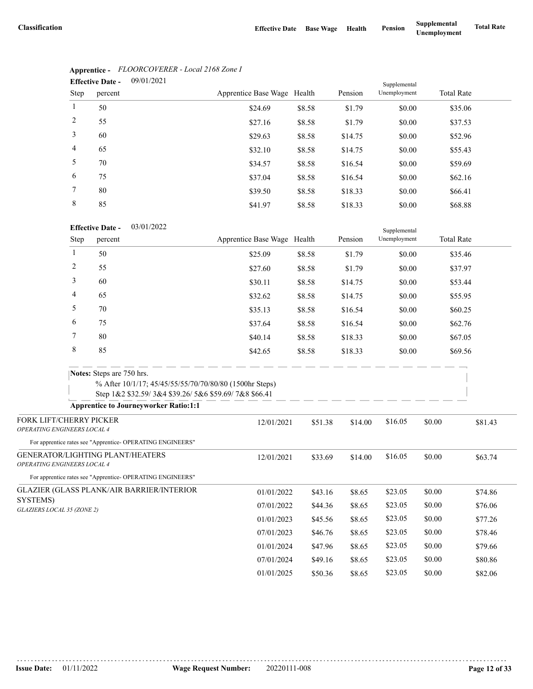| <b>Effective Date -</b> |         | 09/01/2021 |                             |        |         | Supplemental |                   |  |
|-------------------------|---------|------------|-----------------------------|--------|---------|--------------|-------------------|--|
| Step                    | percent |            | Apprentice Base Wage Health |        | Pension | Unemployment | <b>Total Rate</b> |  |
| 1                       | 50      |            | \$24.69                     | \$8.58 | \$1.79  | \$0.00       | \$35.06           |  |
| 2                       | 55      |            | \$27.16                     | \$8.58 | \$1.79  | \$0.00       | \$37.53           |  |
| 3                       | 60      |            | \$29.63                     | \$8.58 | \$14.75 | \$0.00       | \$52.96           |  |
| $\overline{4}$          | 65      |            | \$32.10                     | \$8.58 | \$14.75 | \$0.00       | \$55.43           |  |
| 5                       | 70      |            | \$34.57                     | \$8.58 | \$16.54 | \$0.00       | \$59.69           |  |
| 6                       | 75      |            | \$37.04                     | \$8.58 | \$16.54 | \$0.00       | \$62.16           |  |
| 7                       | 80      |            | \$39.50                     | \$8.58 | \$18.33 | \$0.00       | \$66.41           |  |
| 8                       | 85      |            | \$41.97                     | \$8.58 | \$18.33 | \$0.00       | \$68.88           |  |

# **Apprentice -** *FLOORCOVERER - Local 2168 Zone I*

## 03/01/2022 **Effective Date -**

|                                                                 | <b>Effective Date -</b><br>03/01/2022                      |                                                                                                                 |         | Supplemental |              |        |                   |
|-----------------------------------------------------------------|------------------------------------------------------------|-----------------------------------------------------------------------------------------------------------------|---------|--------------|--------------|--------|-------------------|
| Step                                                            | percent                                                    | Apprentice Base Wage Health                                                                                     |         | Pension      | Unemployment |        | <b>Total Rate</b> |
| 1                                                               | 50                                                         | \$25.09                                                                                                         | \$8.58  | \$1.79       | \$0.00       |        | \$35.46           |
| 2                                                               | 55                                                         | \$27.60                                                                                                         | \$8.58  | \$1.79       | \$0.00       |        | \$37.97           |
| 3                                                               | 60                                                         | \$30.11                                                                                                         | \$8.58  | \$14.75      | \$0.00       |        | \$53.44           |
| 4                                                               | 65                                                         | \$32.62                                                                                                         | \$8.58  | \$14.75      | \$0.00       |        | \$55.95           |
| 5                                                               | 70                                                         | \$35.13                                                                                                         | \$8.58  | \$16.54      | \$0.00       |        | \$60.25           |
| 6                                                               | 75                                                         | \$37.64                                                                                                         | \$8.58  | \$16.54      | \$0.00       |        | \$62.76           |
| 7                                                               | 80                                                         | \$40.14                                                                                                         | \$8.58  | \$18.33      | \$0.00       |        | \$67.05           |
| 8                                                               | 85                                                         | \$42.65                                                                                                         | \$8.58  | \$18.33      | \$0.00       |        | \$69.56           |
|                                                                 | <b>Notes:</b> Steps are 750 hrs.                           |                                                                                                                 |         |              |              |        |                   |
|                                                                 |                                                            | % After 10/1/17; 45/45/55/55/70/70/80/80 (1500hr Steps)<br>Step 1&2 \$32.59/3&4 \$39.26/5&6 \$59.69/7&8 \$66.41 |         |              |              |        |                   |
|                                                                 | <b>Apprentice to Journeyworker Ratio:1:1</b>               |                                                                                                                 |         |              |              |        |                   |
| FORK LIFT/CHERRY PICKER<br>OPERATING ENGINEERS LOCAL 4          |                                                            | 12/01/2021                                                                                                      | \$51.38 | \$14.00      | \$16.05      | \$0.00 | \$81.43           |
|                                                                 | For apprentice rates see "Apprentice- OPERATING ENGINEERS" |                                                                                                                 |         |              |              |        |                   |
| GENERATOR/LIGHTING PLANT/HEATERS<br>OPERATING ENGINEERS LOCAL 4 |                                                            | 12/01/2021                                                                                                      | \$33.69 | \$14.00      | \$16.05      | \$0.00 | \$63.74           |
|                                                                 | For apprentice rates see "Apprentice- OPERATING ENGINEERS" |                                                                                                                 |         |              |              |        |                   |
| <b>GLAZIER (GLASS PLANK/AIR BARRIER/INTERIOR</b>                |                                                            | 01/01/2022                                                                                                      | \$43.16 | \$8.65       | \$23.05      | \$0.00 | \$74.86           |
| SYSTEMS)<br>GLAZIERS LOCAL 35 (ZONE 2)                          |                                                            | 07/01/2022                                                                                                      | \$44.36 | \$8.65       | \$23.05      | \$0.00 | \$76.06           |
|                                                                 |                                                            | 01/01/2023                                                                                                      | \$45.56 | \$8.65       | \$23.05      | \$0.00 | \$77.26           |
|                                                                 |                                                            | 07/01/2023                                                                                                      | \$46.76 | \$8.65       | \$23.05      | \$0.00 | \$78.46           |
|                                                                 |                                                            | 01/01/2024                                                                                                      | \$47.96 | \$8.65       | \$23.05      | \$0.00 | \$79.66           |
|                                                                 |                                                            | 07/01/2024                                                                                                      | \$49.16 | \$8.65       | \$23.05      | \$0.00 | \$80.86           |
|                                                                 |                                                            | 01/01/2025                                                                                                      | \$50.36 | \$8.65       | \$23.05      | \$0.00 | \$82.06           |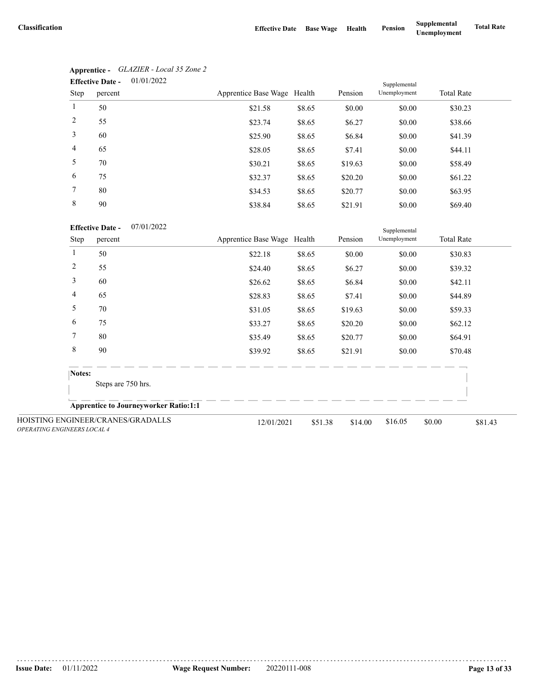|                 | 01/01/2022<br><b>Effective Date -</b> | Supplemental                |        |         |              |                   |
|-----------------|---------------------------------------|-----------------------------|--------|---------|--------------|-------------------|
| Step            | percent                               | Apprentice Base Wage Health |        | Pension | Unemployment | <b>Total Rate</b> |
| $\mathbf{1}$    | 50                                    | \$21.58                     | \$8.65 | \$0.00  | \$0.00       | \$30.23           |
| 2               | 55                                    | \$23.74                     | \$8.65 | \$6.27  | \$0.00       | \$38.66           |
| 3               | 60                                    | \$25.90                     | \$8.65 | \$6.84  | \$0.00       | \$41.39           |
| $\overline{4}$  | 65                                    | \$28.05                     | \$8.65 | \$7.41  | \$0.00       | \$44.11           |
| 5               | 70                                    | \$30.21                     | \$8.65 | \$19.63 | \$0.00       | \$58.49           |
| 6               | 75                                    | \$32.37                     | \$8.65 | \$20.20 | \$0.00       | \$61.22           |
| $7\phantom{.0}$ | 80                                    | \$34.53                     | \$8.65 | \$20.77 | \$0.00       | \$63.95           |
| 8               | 90                                    | \$38.84                     | \$8.65 | \$21.91 | \$0.00       | \$69.40           |

| Apprentice -            | GLAZIER - Local 35 Zone 2 |
|-------------------------|---------------------------|
| <b>Effective Date -</b> | 01/01/2022                |

07/01/2022 **Effective Date -**

| <b>Effective Date -</b><br>07/01/2022 |                                              |  |                             |         |         | Supplemental |                   |         |
|---------------------------------------|----------------------------------------------|--|-----------------------------|---------|---------|--------------|-------------------|---------|
| Step                                  | percent                                      |  | Apprentice Base Wage Health |         | Pension | Unemployment | <b>Total Rate</b> |         |
| 1                                     | 50                                           |  | \$22.18                     | \$8.65  | \$0.00  | \$0.00       | \$30.83           |         |
| 2                                     | 55                                           |  | \$24.40                     | \$8.65  | \$6.27  | \$0.00       | \$39.32           |         |
| 3                                     | 60                                           |  | \$26.62                     | \$8.65  | \$6.84  | \$0.00       | \$42.11           |         |
| 4                                     | 65                                           |  | \$28.83                     | \$8.65  | \$7.41  | \$0.00       | \$44.89           |         |
| 5                                     | 70                                           |  | \$31.05                     | \$8.65  | \$19.63 | \$0.00       | \$59.33           |         |
| 6                                     | 75                                           |  | \$33.27                     | \$8.65  | \$20.20 | \$0.00       | \$62.12           |         |
| 7                                     | 80                                           |  | \$35.49                     | \$8.65  | \$20.77 | \$0.00       | \$64.91           |         |
| 8                                     | 90                                           |  | \$39.92                     | \$8.65  | \$21.91 | \$0.00       | \$70.48           |         |
|                                       | Notes:                                       |  |                             |         |         |              |                   |         |
|                                       | Steps are 750 hrs.                           |  |                             |         |         |              |                   |         |
|                                       | <b>Apprentice to Journeyworker Ratio:1:1</b> |  |                             |         |         |              |                   |         |
| <b>OPERATING ENGINEERS LOCAL 4</b>    | HOISTING ENGINEER/CRANES/GRADALLS            |  | 12/01/2021                  | \$51.38 | \$14.00 | \$16.05      | \$0.00            | \$81.43 |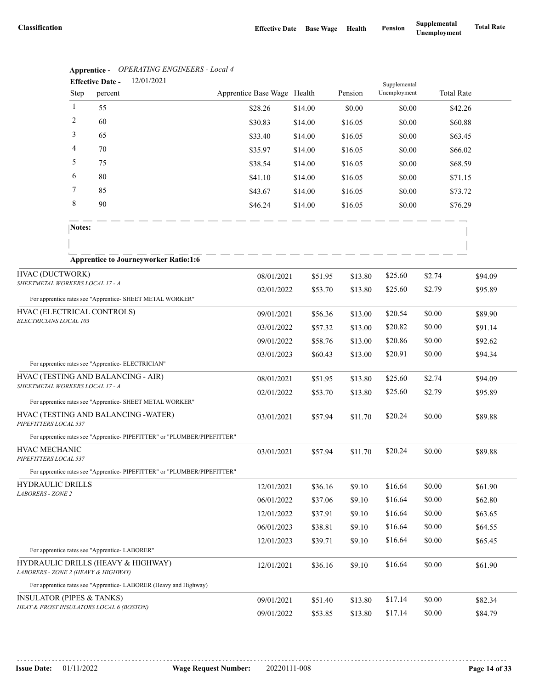|                                                     |                | <b>Apprentice -</b> Or ENATING ENGINEERS - Local 4<br>12/01/2021<br><b>Effective Date -</b> |                             |         |         |                              |         |                   |
|-----------------------------------------------------|----------------|---------------------------------------------------------------------------------------------|-----------------------------|---------|---------|------------------------------|---------|-------------------|
|                                                     | Step           | percent                                                                                     | Apprentice Base Wage Health |         | Pension | Supplemental<br>Unemployment |         | <b>Total Rate</b> |
|                                                     | $\mathbf{1}$   | 55                                                                                          | \$28.26                     | \$14.00 | \$0.00  | \$0.00                       |         | \$42.26           |
|                                                     | 2              | 60                                                                                          | \$30.83                     | \$14.00 | \$16.05 | \$0.00                       |         | \$60.88           |
|                                                     | 3              | 65                                                                                          | \$33.40                     | \$14.00 | \$16.05 | \$0.00                       |         | \$63.45           |
|                                                     | $\overline{4}$ | 70                                                                                          | \$35.97                     | \$14.00 | \$16.05 | \$0.00                       |         | \$66.02           |
|                                                     | 5              | 75                                                                                          | \$38.54                     | \$14.00 | \$16.05 | \$0.00                       |         | \$68.59           |
|                                                     | 6              | 80                                                                                          | \$41.10                     | \$14.00 | \$16.05 | \$0.00                       |         | \$71.15           |
|                                                     | 7              | 85                                                                                          | \$43.67                     | \$14.00 | \$16.05 | \$0.00                       |         | \$73.72           |
|                                                     | 8              | 90                                                                                          | \$46.24                     | \$14.00 | \$16.05 | \$0.00                       |         | \$76.29           |
|                                                     | Notes:         |                                                                                             |                             |         |         |                              |         |                   |
|                                                     |                |                                                                                             |                             |         |         |                              |         |                   |
| HVAC (DUCTWORK)                                     |                | <b>Apprentice to Journeyworker Ratio:1:6</b>                                                |                             |         |         |                              |         |                   |
| SHEETMETAL WORKERS LOCAL 17 - A                     |                |                                                                                             | 08/01/2021                  | \$51.95 | \$13.80 | \$25.60                      | \$2.74  | \$94.09           |
|                                                     |                | For apprentice rates see "Apprentice- SHEET METAL WORKER"                                   | 02/01/2022                  | \$53.70 | \$13.80 | \$25.60                      | \$2.79  | \$95.89           |
| HVAC (ELECTRICAL CONTROLS)                          |                | 09/01/2021                                                                                  | \$56.36                     | \$13.00 | \$20.54 | \$0.00                       | \$89.90 |                   |
| ELECTRICIANS LOCAL 103                              |                |                                                                                             | 03/01/2022                  | \$57.32 | \$13.00 | \$20.82                      | \$0.00  | \$91.14           |
|                                                     |                |                                                                                             | 09/01/2022                  | \$58.76 | \$13.00 | \$20.86                      | \$0.00  | \$92.62           |
|                                                     |                |                                                                                             | 03/01/2023                  | \$60.43 | \$13.00 | \$20.91                      | \$0.00  | \$94.34           |
|                                                     |                | For apprentice rates see "Apprentice- ELECTRICIAN"                                          |                             |         |         |                              |         |                   |
| SHEETMETAL WORKERS LOCAL 17 - A                     |                | HVAC (TESTING AND BALANCING - AIR)                                                          | 08/01/2021                  | \$51.95 | \$13.80 | \$25.60                      | \$2.74  | \$94.09           |
|                                                     |                | For apprentice rates see "Apprentice- SHEET METAL WORKER"                                   | 02/01/2022                  | \$53.70 | \$13.80 | \$25.60                      | \$2.79  | \$95.89           |
| PIPEFITTERS LOCAL 537                               |                | HVAC (TESTING AND BALANCING -WATER)                                                         | 03/01/2021                  | \$57.94 | \$11.70 | \$20.24                      | \$0.00  | \$89.88           |
|                                                     |                | For apprentice rates see "Apprentice- PIPEFITTER" or "PLUMBER/PIPEFITTER"                   |                             |         |         |                              |         |                   |
| HVAC MECHANIC<br>PIPEFITTERS LOCAL 537              |                |                                                                                             | 03/01/2021                  | \$57.94 | \$11.70 | \$20.24                      | \$0.00  | \$89.88           |
|                                                     |                | For apprentice rates see "Apprentice-PIPEFITTER" or "PLUMBER/PIPEFITTER"                    |                             |         |         |                              |         |                   |
| <b>HYDRAULIC DRILLS</b><br><b>LABORERS - ZONE 2</b> |                |                                                                                             | 12/01/2021                  | \$36.16 | \$9.10  | \$16.64                      | \$0.00  | \$61.90           |
|                                                     |                |                                                                                             | 06/01/2022                  | \$37.06 | \$9.10  | \$16.64                      | \$0.00  | \$62.80           |
|                                                     |                |                                                                                             | 12/01/2022                  | \$37.91 | \$9.10  | \$16.64                      | \$0.00  | \$63.65           |
|                                                     |                |                                                                                             | 06/01/2023                  | \$38.81 | \$9.10  | \$16.64                      | \$0.00  | \$64.55           |
|                                                     |                | For apprentice rates see "Apprentice-LABORER"                                               | 12/01/2023                  | \$39.71 | \$9.10  | \$16.64                      | \$0.00  | \$65.45           |
|                                                     |                | HYDRAULIC DRILLS (HEAVY & HIGHWAY)                                                          |                             |         |         | \$16.64                      | \$0.00  |                   |
| LABORERS - ZONE 2 (HEAVY & HIGHWAY)                 |                |                                                                                             | 12/01/2021                  | \$36.16 | \$9.10  |                              |         | \$61.90           |
|                                                     |                | For apprentice rates see "Apprentice- LABORER (Heavy and Highway)                           |                             |         |         |                              |         |                   |
| <b>INSULATOR (PIPES &amp; TANKS)</b>                |                | HEAT & FROST INSULATORS LOCAL 6 (BOSTON)                                                    | 09/01/2021                  | \$51.40 | \$13.80 | \$17.14                      | \$0.00  | \$82.34           |
|                                                     |                |                                                                                             | 09/01/2022                  | \$53.85 | \$13.80 | \$17.14                      | \$0.00  | \$84.79           |

# **Apprentice -** *OPERATING ENGINEERS - Local 4*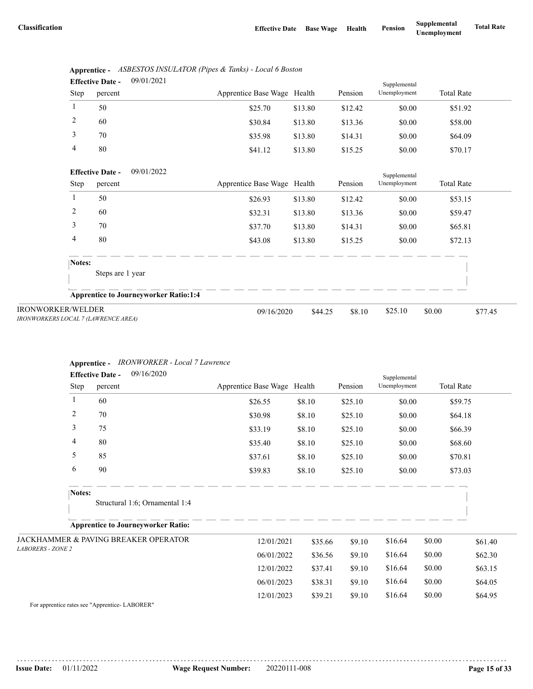| <b>Effective Date -</b> |         | 09/01/2021 |                             |         |         | Supplemental |                   |  |
|-------------------------|---------|------------|-----------------------------|---------|---------|--------------|-------------------|--|
| Step                    | percent |            | Apprentice Base Wage Health |         | Pension | Unemployment | <b>Total Rate</b> |  |
|                         | 50      |            | \$25.70                     | \$13.80 | \$12.42 | \$0.00       | \$51.92           |  |
| 2                       | 60      |            | \$30.84                     | \$13.80 | \$13.36 | \$0.00       | \$58.00           |  |
| 3                       | 70      |            | \$35.98                     | \$13.80 | \$14.31 | \$0.00       | \$64.09           |  |
| 4                       | 80      |            | \$41.12                     | \$13.80 | \$15.25 | \$0.00       | \$70.17           |  |

|      | Apprentice - ASBESTOS INSULATOR (Pipes & Tanks) - Local 6 Boston |
|------|------------------------------------------------------------------|
| $ -$ | 001010001                                                        |

|                                                                 | 09/01/2022<br><b>Effective Date -</b>        |                             |         |         | Supplemental |                   |         |
|-----------------------------------------------------------------|----------------------------------------------|-----------------------------|---------|---------|--------------|-------------------|---------|
| Step                                                            | percent                                      | Apprentice Base Wage Health |         | Pension | Unemployment | <b>Total Rate</b> |         |
|                                                                 | 50                                           | \$26.93                     | \$13.80 | \$12.42 | \$0.00       | \$53.15           |         |
| 2                                                               | 60                                           | \$32.31                     | \$13.80 | \$13.36 | \$0.00       | \$59.47           |         |
| 3                                                               | 70                                           | \$37.70                     | \$13.80 | \$14.31 | \$0.00       | \$65.81           |         |
| 4                                                               | 80                                           | \$43.08                     | \$13.80 | \$15.25 | \$0.00       | \$72.13           |         |
| Notes:                                                          | Steps are 1 year                             |                             |         |         |              |                   |         |
|                                                                 | <b>Apprentice to Journeyworker Ratio:1:4</b> |                             |         |         |              |                   |         |
| <b>IRONWORKER/WELDER</b><br>IRONWORKERS LOCAL 7 (LAWRENCE AREA) |                                              | 09/16/2020                  | \$44.25 | \$8.10  | \$25.10      | \$0.00            | \$77.45 |

## **Apprentice -** *IRONWORKER - Local 7 Lawrence*

|                          |                | 09/16/2020<br><b>Effective Date -</b>     |                             |         |         | Supplemental |                   |         |
|--------------------------|----------------|-------------------------------------------|-----------------------------|---------|---------|--------------|-------------------|---------|
|                          | Step           | percent                                   | Apprentice Base Wage Health |         | Pension | Unemployment | <b>Total Rate</b> |         |
|                          | 1              | 60                                        | \$26.55                     | \$8.10  | \$25.10 | \$0.00       |                   | \$59.75 |
|                          | $\overline{c}$ | 70                                        | \$30.98                     | \$8.10  | \$25.10 | \$0.00       |                   | \$64.18 |
|                          | 3              | 75                                        | \$33.19                     | \$8.10  | \$25.10 | \$0.00       |                   | \$66.39 |
|                          | 4              | 80                                        | \$35.40                     | \$8.10  | \$25.10 | \$0.00       |                   | \$68.60 |
|                          | 5              | 85                                        | \$37.61                     | \$8.10  | \$25.10 | \$0.00       |                   | \$70.81 |
|                          | 6              | 90                                        | \$39.83                     | \$8.10  | \$25.10 | \$0.00       |                   | \$73.03 |
|                          | Notes:         |                                           |                             |         |         |              |                   |         |
|                          |                | Structural 1:6; Ornamental 1:4            |                             |         |         |              |                   |         |
|                          |                | <b>Apprentice to Journeyworker Ratio:</b> |                             |         |         |              |                   |         |
|                          |                | JACKHAMMER & PAVING BREAKER OPERATOR      | 12/01/2021                  | \$35.66 | \$9.10  | \$16.64      | \$0.00            | \$61.40 |
| <b>LABORERS - ZONE 2</b> |                |                                           | 06/01/2022                  | \$36.56 | \$9.10  | \$16.64      | \$0.00            | \$62.30 |
|                          |                |                                           | 12/01/2022                  | \$37.41 | \$9.10  | \$16.64      | \$0.00            | \$63.15 |
|                          |                |                                           | 06/01/2023                  | \$38.31 | \$9.10  | \$16.64      | \$0.00            | \$64.05 |
|                          |                |                                           | 12/01/2023                  | \$39.21 | \$9.10  | \$16.64      | \$0.00            | \$64.95 |

For apprentice rates see "Apprentice- LABORER"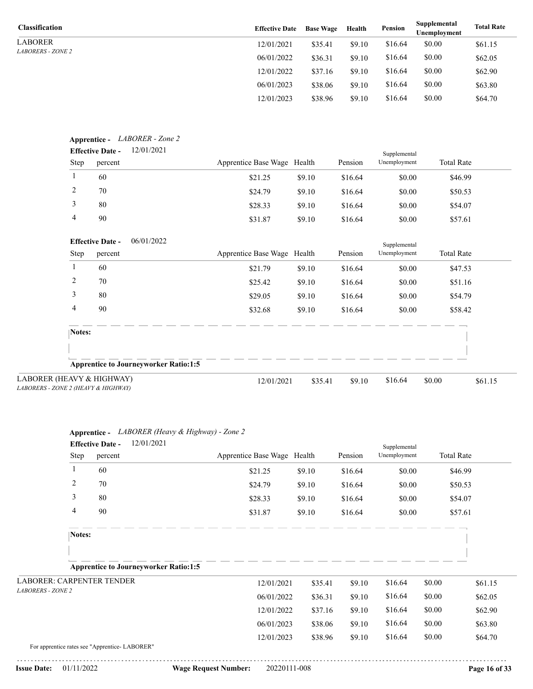LABORER *LABORERS - ZONE 2*

| <b>Classification</b>    | <b>Effective Date</b> | <b>Base Wage</b> | Health | Pension | Supplemental<br>Unemployment | <b>Total Rate</b> |
|--------------------------|-----------------------|------------------|--------|---------|------------------------------|-------------------|
| LABORER                  | 12/01/2021            | \$35.41          | \$9.10 | \$16.64 | \$0.00                       | \$61.15           |
| <i>LABORERS - ZONE 2</i> | 06/01/2022            | \$36.31          | \$9.10 | \$16.64 | \$0.00                       | \$62.05           |
|                          | 12/01/2022            | \$37.16          | \$9.10 | \$16.64 | \$0.00                       | \$62.90           |
|                          | 06/01/2023            | \$38.06          | \$9.10 | \$16.64 | \$0.00                       | \$63.80           |
|                          | 12/01/2023            | \$38.96          | \$9.10 | \$16.64 | \$0.00                       | \$64.70           |

|        | <b>Effective Date -</b>                  | 12/01/2021                                   |                             |         |         | Supplemental |                   |
|--------|------------------------------------------|----------------------------------------------|-----------------------------|---------|---------|--------------|-------------------|
| Step   | percent                                  |                                              | Apprentice Base Wage Health |         | Pension | Unemployment | <b>Total Rate</b> |
| 1      | 60                                       |                                              | \$21.25                     | \$9.10  | \$16.64 | \$0.00       | \$46.99           |
| 2      | 70                                       |                                              | \$24.79                     | \$9.10  | \$16.64 | \$0.00       | \$50.53           |
| 3      | 80                                       |                                              | \$28.33                     | \$9.10  | \$16.64 | \$0.00       | \$54.07           |
| 4      | 90                                       |                                              | \$31.87                     | \$9.10  | \$16.64 | \$0.00       | \$57.61           |
|        | <b>Effective Date -</b>                  | 06/01/2022                                   |                             |         |         | Supplemental |                   |
| Step   | percent                                  |                                              | Apprentice Base Wage Health |         | Pension | Unemployment | <b>Total Rate</b> |
|        | 60                                       |                                              | \$21.79                     | \$9.10  | \$16.64 | \$0.00       | \$47.53           |
| 2      | 70                                       |                                              | \$25.42                     | \$9.10  | \$16.64 | \$0.00       | \$51.16           |
| 3      | 80                                       |                                              | \$29.05                     | \$9.10  | \$16.64 | \$0.00       | \$54.79           |
| 4      | 90                                       |                                              | \$32.68                     | \$9.10  | \$16.64 | \$0.00       | \$58.42           |
| Notes: |                                          |                                              |                             |         |         |              |                   |
|        |                                          |                                              |                             |         |         |              |                   |
|        |                                          | <b>Apprentice to Journeyworker Ratio:1:5</b> |                             |         |         |              |                   |
|        | EAVY & HIGHWAY)<br>E 2 (HEAVY & HIGHWAY) |                                              | 12/01/2021                  | \$35.41 | \$9.10  | \$16.64      | \$0.00<br>\$61.15 |

| LABORER (HEAVY & HIGHWAY)           |
|-------------------------------------|
| LABORERS - ZONE 2 (HEAVY & HIGHWAY) |

|                                                | 12/01/2021<br><b>Effective Date -</b>        |                             |         |         | Supplemental |                   |         |
|------------------------------------------------|----------------------------------------------|-----------------------------|---------|---------|--------------|-------------------|---------|
| Step                                           | percent                                      | Apprentice Base Wage Health |         | Pension | Unemployment | <b>Total Rate</b> |         |
| $\mathbf{1}$                                   | 60                                           | \$21.25                     | \$9.10  | \$16.64 | \$0.00       | \$46.99           |         |
| 2                                              | 70                                           | \$24.79                     | \$9.10  | \$16.64 | \$0.00       | \$50.53           |         |
| 3                                              | 80                                           | \$28.33                     | \$9.10  | \$16.64 | \$0.00       | \$54.07           |         |
| 4                                              | 90                                           | \$31.87                     | \$9.10  | \$16.64 | \$0.00       | \$57.61           |         |
| Notes:                                         |                                              |                             |         |         |              |                   |         |
|                                                |                                              |                             |         |         |              |                   |         |
|                                                | <b>Apprentice to Journeyworker Ratio:1:5</b> |                             |         |         |              |                   |         |
| <b>LABORER: CARPENTER TENDER</b>               |                                              | 12/01/2021                  | \$35.41 | \$9.10  | \$16.64      | \$0.00            | \$61.15 |
| <b>LABORERS - ZONE 2</b>                       |                                              | 06/01/2022                  | \$36.31 | \$9.10  | \$16.64      | \$0.00            | \$62.05 |
|                                                |                                              | 12/01/2022                  | \$37.16 | \$9.10  | \$16.64      | \$0.00            | \$62.90 |
|                                                |                                              | 06/01/2023                  | \$38.06 | \$9.10  | \$16.64      | \$0.00            | \$63.80 |
| For apprentice rates see "Apprentice- LABORER" |                                              | 12/01/2023                  | \$38.96 | \$9.10  | \$16.64      | \$0.00            | \$64.70 |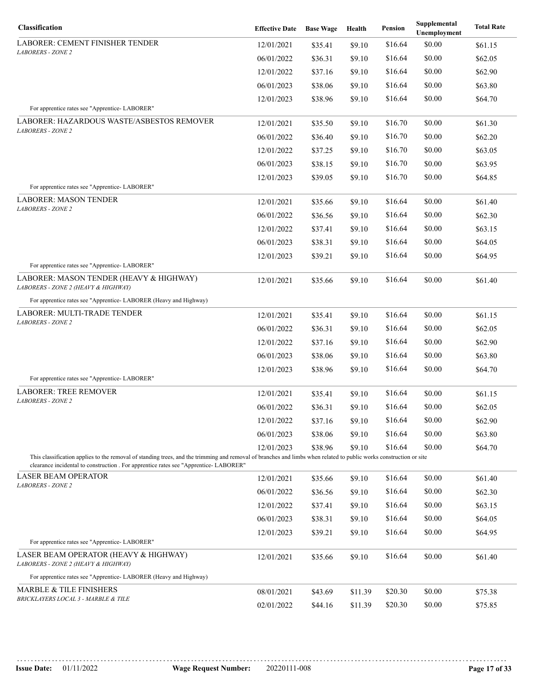| Classification                                                                                                                                                                                                                                            | <b>Effective Date</b> | <b>Base Wage</b> | Health  | Pension            | Supplemental<br>Unemployment | <b>Total Rate</b>  |
|-----------------------------------------------------------------------------------------------------------------------------------------------------------------------------------------------------------------------------------------------------------|-----------------------|------------------|---------|--------------------|------------------------------|--------------------|
| <b>LABORER: CEMENT FINISHER TENDER</b>                                                                                                                                                                                                                    | 12/01/2021            | \$35.41          | \$9.10  | \$16.64            | \$0.00                       | \$61.15            |
| <b>LABORERS - ZONE 2</b>                                                                                                                                                                                                                                  | 06/01/2022            | \$36.31          | \$9.10  | \$16.64            | \$0.00                       | \$62.05            |
|                                                                                                                                                                                                                                                           | 12/01/2022            | \$37.16          | \$9.10  | \$16.64            | \$0.00                       | \$62.90            |
|                                                                                                                                                                                                                                                           | 06/01/2023            | \$38.06          | \$9.10  | \$16.64            | \$0.00                       | \$63.80            |
| For apprentice rates see "Apprentice-LABORER"                                                                                                                                                                                                             | 12/01/2023            | \$38.96          | \$9.10  | \$16.64            | \$0.00                       | \$64.70            |
| LABORER: HAZARDOUS WASTE/ASBESTOS REMOVER                                                                                                                                                                                                                 |                       |                  |         |                    |                              |                    |
| <b>LABORERS - ZONE 2</b>                                                                                                                                                                                                                                  | 12/01/2021            | \$35.50          | \$9.10  | \$16.70<br>\$16.70 | \$0.00                       | \$61.30<br>\$62.20 |
|                                                                                                                                                                                                                                                           | 06/01/2022            | \$36.40          | \$9.10  | \$16.70            | \$0.00<br>\$0.00             |                    |
|                                                                                                                                                                                                                                                           | 12/01/2022            | \$37.25          | \$9.10  |                    |                              | \$63.05            |
|                                                                                                                                                                                                                                                           | 06/01/2023            | \$38.15          | \$9.10  | \$16.70            | \$0.00                       | \$63.95            |
| For apprentice rates see "Apprentice-LABORER"                                                                                                                                                                                                             | 12/01/2023            | \$39.05          | \$9.10  | \$16.70            | \$0.00                       | \$64.85            |
| <b>LABORER: MASON TENDER</b>                                                                                                                                                                                                                              | 12/01/2021            | \$35.66          | \$9.10  | \$16.64            | \$0.00                       | \$61.40            |
| <b>LABORERS - ZONE 2</b>                                                                                                                                                                                                                                  | 06/01/2022            | \$36.56          | \$9.10  | \$16.64            | \$0.00                       | \$62.30            |
|                                                                                                                                                                                                                                                           | 12/01/2022            | \$37.41          | \$9.10  | \$16.64            | \$0.00                       | \$63.15            |
|                                                                                                                                                                                                                                                           | 06/01/2023            | \$38.31          | \$9.10  | \$16.64            | \$0.00                       | \$64.05            |
|                                                                                                                                                                                                                                                           | 12/01/2023            | \$39.21          | \$9.10  | \$16.64            | \$0.00                       | \$64.95            |
| For apprentice rates see "Apprentice-LABORER"                                                                                                                                                                                                             |                       |                  |         |                    |                              |                    |
| LABORER: MASON TENDER (HEAVY & HIGHWAY)<br>LABORERS - ZONE 2 (HEAVY & HIGHWAY)                                                                                                                                                                            | 12/01/2021            | \$35.66          | \$9.10  | \$16.64            | \$0.00                       | \$61.40            |
| For apprentice rates see "Apprentice- LABORER (Heavy and Highway)                                                                                                                                                                                         |                       |                  |         |                    |                              |                    |
| LABORER: MULTI-TRADE TENDER                                                                                                                                                                                                                               | 12/01/2021            | \$35.41          | \$9.10  | \$16.64            | \$0.00                       | \$61.15            |
| <b>LABORERS - ZONE 2</b>                                                                                                                                                                                                                                  | 06/01/2022            | \$36.31          | \$9.10  | \$16.64            | \$0.00                       | \$62.05            |
|                                                                                                                                                                                                                                                           | 12/01/2022            | \$37.16          | \$9.10  | \$16.64            | \$0.00                       | \$62.90            |
|                                                                                                                                                                                                                                                           | 06/01/2023            | \$38.06          | \$9.10  | \$16.64            | \$0.00                       | \$63.80            |
|                                                                                                                                                                                                                                                           | 12/01/2023            | \$38.96          | \$9.10  | \$16.64            | \$0.00                       | \$64.70            |
| For apprentice rates see "Apprentice-LABORER"                                                                                                                                                                                                             |                       |                  |         |                    |                              |                    |
| <b>LABORER: TREE REMOVER</b><br><b>LABORERS - ZONE 2</b>                                                                                                                                                                                                  | 12/01/2021            | \$35.41          | \$9.10  | \$16.64            | \$0.00                       | \$61.15            |
|                                                                                                                                                                                                                                                           | 06/01/2022            | \$36.31          | \$9.10  | \$16.64            | \$0.00                       | \$62.05            |
|                                                                                                                                                                                                                                                           | 12/01/2022            | \$37.16          | \$9.10  | \$16.64            | \$0.00                       | \$62.90            |
|                                                                                                                                                                                                                                                           | 06/01/2023            | \$38.06          | \$9.10  | \$16.64            | \$0.00                       | \$63.80            |
|                                                                                                                                                                                                                                                           | 12/01/2023            | \$38.96          | \$9.10  | \$16.64            | \$0.00                       | \$64.70            |
| This classification applies to the removal of standing trees, and the trimming and removal of branches and limbs when related to public works construction or site<br>clearance incidental to construction. For apprentice rates see "Apprentice-LABORER" |                       |                  |         |                    |                              |                    |
| <b>LASER BEAM OPERATOR</b>                                                                                                                                                                                                                                | 12/01/2021            | \$35.66          | \$9.10  | \$16.64            | \$0.00                       | \$61.40            |
| <b>LABORERS - ZONE 2</b>                                                                                                                                                                                                                                  | 06/01/2022            | \$36.56          | \$9.10  | \$16.64            | \$0.00                       | \$62.30            |
|                                                                                                                                                                                                                                                           | 12/01/2022            | \$37.41          | \$9.10  | \$16.64            | \$0.00                       | \$63.15            |
|                                                                                                                                                                                                                                                           | 06/01/2023            | \$38.31          | \$9.10  | \$16.64            | \$0.00                       | \$64.05            |
|                                                                                                                                                                                                                                                           | 12/01/2023            | \$39.21          | \$9.10  | \$16.64            | \$0.00                       | \$64.95            |
| For apprentice rates see "Apprentice-LABORER"                                                                                                                                                                                                             |                       |                  |         |                    |                              |                    |
| LASER BEAM OPERATOR (HEAVY & HIGHWAY)<br>LABORERS - ZONE 2 (HEAVY & HIGHWAY)                                                                                                                                                                              | 12/01/2021            | \$35.66          | \$9.10  | \$16.64            | \$0.00                       | \$61.40            |
| For apprentice rates see "Apprentice- LABORER (Heavy and Highway)                                                                                                                                                                                         |                       |                  |         |                    |                              |                    |
| <b>MARBLE &amp; TILE FINISHERS</b>                                                                                                                                                                                                                        | 08/01/2021            | \$43.69          | \$11.39 | \$20.30            | \$0.00                       | \$75.38            |
| BRICKLAYERS LOCAL 3 - MARBLE & TILE                                                                                                                                                                                                                       | 02/01/2022            | \$44.16          | \$11.39 | \$20.30            | \$0.00                       | \$75.85            |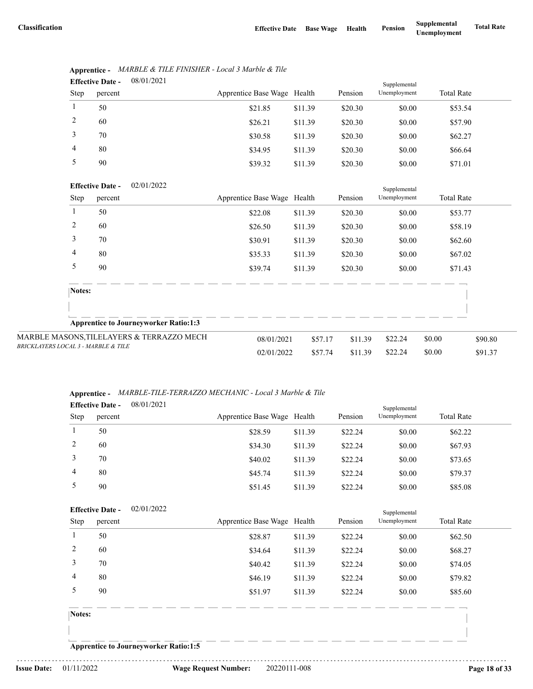Supplemental

| <b>Effective Date -</b> |         | 08/01/2021 |                             |         |         | Supplemental |                   |  |
|-------------------------|---------|------------|-----------------------------|---------|---------|--------------|-------------------|--|
| Step                    | percent |            | Apprentice Base Wage Health |         | Pension | Unemployment | <b>Total Rate</b> |  |
|                         | 50      |            | \$21.85                     | \$11.39 | \$20.30 | \$0.00       | \$53.54           |  |
| 2                       | 60      |            | \$26.21                     | \$11.39 | \$20.30 | \$0.00       | \$57.90           |  |
| 3                       | 70      |            | \$30.58                     | \$11.39 | \$20.30 | \$0.00       | \$62.27           |  |
| $\overline{4}$          | 80      |            | \$34.95                     | \$11.39 | \$20.30 | \$0.00       | \$66.64           |  |
| 5                       | 90      |            | \$39.32                     | \$11.39 | \$20.30 | \$0.00       | \$71.01           |  |
|                         |         |            |                             |         |         |              |                   |  |

# **Apprentice -** *MARBLE & TILE FINISHER - Local 3 Marble & Tile*

#### 02/01/2022 **Effective Date -**

| Step                                | percent |                                              | Apprentice Base Wage Health |         | Pension | . .<br>Unemployment | <b>Total Rate</b> |         |
|-------------------------------------|---------|----------------------------------------------|-----------------------------|---------|---------|---------------------|-------------------|---------|
|                                     | 50      |                                              | \$22.08                     | \$11.39 | \$20.30 | \$0.00              |                   | \$53.77 |
| 2                                   | 60      |                                              | \$26.50                     | \$11.39 | \$20.30 | \$0.00              |                   | \$58.19 |
| 3                                   | 70      |                                              | \$30.91                     | \$11.39 | \$20.30 | \$0.00              |                   | \$62.60 |
| 4                                   | 80      |                                              | \$35.33                     | \$11.39 | \$20.30 | \$0.00              |                   | \$67.02 |
| 5                                   | 90      |                                              | \$39.74                     | \$11.39 | \$20.30 | \$0.00              |                   | \$71.43 |
|                                     | Notes:  |                                              |                             |         |         |                     |                   |         |
|                                     |         | <b>Apprentice to Journeyworker Ratio:1:3</b> |                             |         |         |                     |                   |         |
|                                     |         | MARBLE MASONS, TILELAYERS & TERRAZZO MECH    | 08/01/2021                  | \$57.17 | \$11.39 | \$22.24             | \$0.00            | \$90.80 |
| BRICKLAYERS LOCAL 3 - MARBLE & TILE |         | 02/01/2022                                   | \$57.74                     | \$11.39 | \$22.24 | \$0.00              | \$91.37           |         |

## **Apprentice -** *MARBLE-TILE-TERRAZZO MECHANIC - Local 3 Marble & Tile*

| <b>Effective Date -</b> |         | 08/01/2021 |                             |         |         | Supplemental |                   |  |
|-------------------------|---------|------------|-----------------------------|---------|---------|--------------|-------------------|--|
| <b>Step</b>             | percent |            | Apprentice Base Wage Health |         | Pension | Unemployment | <b>Total Rate</b> |  |
|                         | 50      |            | \$28.59                     | \$11.39 | \$22.24 | \$0.00       | \$62.22           |  |
|                         | 60      |            | \$34.30                     | \$11.39 | \$22.24 | \$0.00       | \$67.93           |  |
|                         | 70      |            | \$40.02                     | \$11.39 | \$22.24 | \$0.00       | \$73.65           |  |
| 4                       | 80      |            | \$45.74                     | \$11.39 | \$22.24 | \$0.00       | \$79.37           |  |
|                         | 90      |            | \$51.45                     | \$11.39 | \$22.24 | \$0.00       | \$85.08           |  |

## 02/01/2022 Pension Supplemental Step percent Apprentice Base Wage Health Pension Unemployment Total Rate **Effective Date -** 1 50 \$28.87 \$11.39 \$22.24 \$0.00 \$62.50 2 60 \$34.64 \$11.39 \$22.24 \$0.00 \$68.27 3 70 \$40.42 \$11.39 \$22.24 \$0.00 \$74.05 4 80 \$46.19 \$11.39 \$22.24 \$0.00 \$79.82 5 90 \$51.97 \$11.39 \$22.24 \$0.00 \$85.60 **Notes:**

**Apprentice to Journeyworker Ratio:1:5**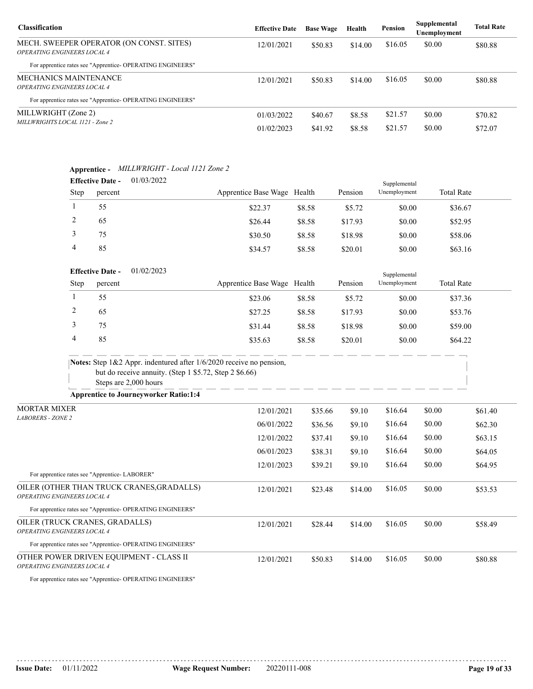| <b>Classification</b>                                                                 | <b>Effective Date</b> | <b>Base Wage</b> | Health  | <b>Pension</b> | Supplemental<br>Unemployment | <b>Total Rate</b> |
|---------------------------------------------------------------------------------------|-----------------------|------------------|---------|----------------|------------------------------|-------------------|
| MECH. SWEEPER OPERATOR (ON CONST. SITES)<br><i><b>OPERATING ENGINEERS LOCAL 4</b></i> | 12/01/2021            | \$50.83          | \$14.00 | \$16.05        | \$0.00                       | \$80.88           |
| For apprentice rates see "Apprentice-OPERATING ENGINEERS"                             |                       |                  |         |                |                              |                   |
| MECHANICS MAINTENANCE<br><i><b>OPERATING ENGINEERS LOCAL 4</b></i>                    | 12/01/2021            | \$50.83          | \$14.00 | \$16.05        | \$0.00                       | \$80.88           |
| For apprentice rates see "Apprentice-OPERATING ENGINEERS"                             |                       |                  |         |                |                              |                   |
| MILLWRIGHT (Zone 2)<br>MILLWRIGHTS LOCAL 1121 - Zone 2                                | 01/03/2022            | \$40.67          | \$8.58  | \$21.57        | \$0.00                       | \$70.82           |
|                                                                                       | 01/02/2023            | \$41.92          | \$8.58  | \$21.57        | \$0.00                       | \$72.07           |

# **Apprentice -** *MILLWRIGHT - Local 1121 Zone 2*

| <b>Effective Date -</b> |         | 01/03/2022 |                             |        |         | Supplemental |                   |  |
|-------------------------|---------|------------|-----------------------------|--------|---------|--------------|-------------------|--|
| <b>Step</b>             | percent |            | Apprentice Base Wage Health |        | Pension | Unemployment | <b>Total Rate</b> |  |
|                         | 55      |            | \$22.37                     | \$8.58 | \$5.72  | \$0.00       | \$36.67           |  |
|                         | 65      |            | \$26.44                     | \$8.58 | \$17.93 | \$0.00       | \$52.95           |  |
|                         | 75      |            | \$30.50                     | \$8.58 | \$18.98 | \$0.00       | \$58.06           |  |
| 4                       | 85      |            | \$34.57                     | \$8.58 | \$20.01 | \$0.00       | \$63.16           |  |

## 01/02/2023 **Effective Date -**

| <b>Effective Date -</b> |         | 01/02/2023 |                             |        | Supplemental |              |                   |  |
|-------------------------|---------|------------|-----------------------------|--------|--------------|--------------|-------------------|--|
| <b>Step</b>             | percent |            | Apprentice Base Wage Health |        | Pension      | Unemployment | <b>Total Rate</b> |  |
|                         | 55      |            | \$23.06                     | \$8.58 | \$5.72       | \$0.00       | \$37.36           |  |
|                         | 65      |            | \$27.25                     | \$8.58 | \$17.93      | \$0.00       | \$53.76           |  |
|                         | 75      |            | \$31.44                     | \$8.58 | \$18.98      | \$0.00       | \$59.00           |  |
|                         | 85      |            | \$35.63                     | \$8.58 | \$20.01      | \$0.00       | \$64.22           |  |

| <b>Notes:</b> Step $1\&2$ Appr. indentured after $1/6/2020$ receive no pension, |
|---------------------------------------------------------------------------------|
| but do receive annuity. (Step 1 $$5.72$ , Step 2 $$6.66$ )                      |
| Steps are 2,000 hours                                                           |

**Apprentice to Journeyworker Ratio:1:4**

| <b>MORTAR MIXER</b>                                                             | 12/01/2021 | \$35.66 | \$9.10  | \$16.64 | \$0.00 | \$61.40 |
|---------------------------------------------------------------------------------|------------|---------|---------|---------|--------|---------|
| <b>LABORERS - ZONE 2</b>                                                        | 06/01/2022 | \$36.56 | \$9.10  | \$16.64 | \$0.00 | \$62.30 |
|                                                                                 | 12/01/2022 | \$37.41 | \$9.10  | \$16.64 | \$0.00 | \$63.15 |
|                                                                                 | 06/01/2023 | \$38.31 | \$9.10  | \$16.64 | \$0.00 | \$64.05 |
|                                                                                 | 12/01/2023 | \$39.21 | \$9.10  | \$16.64 | \$0.00 | \$64.95 |
| For apprentice rates see "Apprentice-LABORER"                                   |            |         |         |         |        |         |
| OILER (OTHER THAN TRUCK CRANES, GRADALLS)<br><b>OPERATING ENGINEERS LOCAL 4</b> | 12/01/2021 | \$23.48 | \$14.00 | \$16.05 | \$0.00 | \$53.53 |
| For apprentice rates see "Apprentice- OPERATING ENGINEERS"                      |            |         |         |         |        |         |
| OILER (TRUCK CRANES, GRADALLS)<br><b>OPERATING ENGINEERS LOCAL 4</b>            | 12/01/2021 | \$28.44 | \$14.00 | \$16.05 | \$0.00 | \$58.49 |
| For apprentice rates see "Apprentice- OPERATING ENGINEERS"                      |            |         |         |         |        |         |
| OTHER POWER DRIVEN EQUIPMENT - CLASS II<br><b>OPERATING ENGINEERS LOCAL 4</b>   | 12/01/2021 | \$50.83 | \$14.00 | \$16.05 | \$0.00 | \$80.88 |

For apprentice rates see "Apprentice- OPERATING ENGINEERS"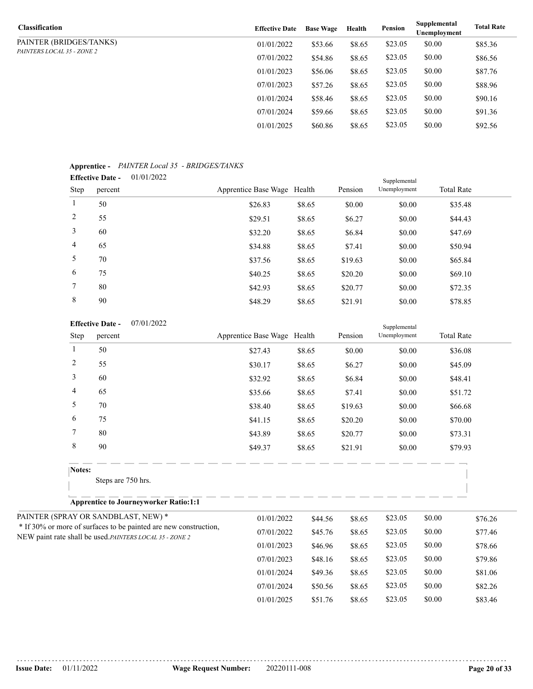| <b>Classification</b>             | <b>Effective Date</b> | <b>Base Wage</b> | Health | Pension | Supplemental<br>Unemployment | <b>Total Rate</b> |
|-----------------------------------|-----------------------|------------------|--------|---------|------------------------------|-------------------|
| PAINTER (BRIDGES/TANKS)           | 01/01/2022            | \$53.66          | \$8.65 | \$23.05 | \$0.00                       | \$85.36           |
| <i>PAINTERS LOCAL 35 - ZONE 2</i> | 07/01/2022            | \$54.86          | \$8.65 | \$23.05 | \$0.00                       | \$86.56           |
|                                   | 01/01/2023            | \$56.06          | \$8.65 | \$23.05 | \$0.00                       | \$87.76           |
|                                   | 07/01/2023            | \$57.26          | \$8.65 | \$23.05 | \$0.00                       | \$88.96           |
|                                   | 01/01/2024            | \$58.46          | \$8.65 | \$23.05 | \$0.00                       | \$90.16           |
|                                   | 07/01/2024            | \$59.66          | \$8.65 | \$23.05 | \$0.00                       | \$91.36           |
|                                   | 01/01/2025            | \$60.86          | \$8.65 | \$23.05 | \$0.00                       | \$92.56           |

## **Apprentice -** *PAINTER Local 35 - BRIDGES/TANKS*

|                 | <b>Effective Date -</b> | 01/01/2022 |                             |        |         | Supplemental |                   |  |  |
|-----------------|-------------------------|------------|-----------------------------|--------|---------|--------------|-------------------|--|--|
| Step            | percent                 |            | Apprentice Base Wage Health |        | Pension | Unemployment | <b>Total Rate</b> |  |  |
| $\mathbf{1}$    | 50                      |            | \$26.83                     | \$8.65 | \$0.00  | \$0.00       | \$35.48           |  |  |
| 2               | 55                      |            | \$29.51                     | \$8.65 | \$6.27  | \$0.00       | \$44.43           |  |  |
| 3               | 60                      |            | \$32.20                     | \$8.65 | \$6.84  | \$0.00       | \$47.69           |  |  |
| $\overline{4}$  | 65                      |            | \$34.88                     | \$8.65 | \$7.41  | \$0.00       | \$50.94           |  |  |
| 5               | 70                      |            | \$37.56                     | \$8.65 | \$19.63 | \$0.00       | \$65.84           |  |  |
| 6               | 75                      |            | \$40.25                     | \$8.65 | \$20.20 | \$0.00       | \$69.10           |  |  |
| $7\phantom{.0}$ | 80                      |            | \$42.93                     | \$8.65 | \$20.77 | \$0.00       | \$72.35           |  |  |
| 8               | 90                      |            | \$48.29                     | \$8.65 | \$21.91 | \$0.00       | \$78.85           |  |  |
|                 |                         |            |                             |        |         |              |                   |  |  |

#### 07/01/2022 **Effective Date -**

| <b>Effective Date -</b>                                  | 07/01/2022                                                       |                             |         |         | Supplemental |        |                   |
|----------------------------------------------------------|------------------------------------------------------------------|-----------------------------|---------|---------|--------------|--------|-------------------|
| Step<br>percent                                          |                                                                  | Apprentice Base Wage Health |         | Pension | Unemployment |        | <b>Total Rate</b> |
| 1<br>50                                                  |                                                                  | \$27.43                     | \$8.65  | \$0.00  | \$0.00       |        | \$36.08           |
| $\overline{c}$<br>55                                     |                                                                  | \$30.17                     | \$8.65  | \$6.27  | \$0.00       |        | \$45.09           |
| 3<br>60                                                  |                                                                  | \$32.92                     | \$8.65  | \$6.84  | \$0.00       |        | \$48.41           |
| 4<br>65                                                  |                                                                  | \$35.66                     | \$8.65  | \$7.41  | \$0.00       |        | \$51.72           |
| 5<br>70                                                  |                                                                  | \$38.40                     | \$8.65  | \$19.63 | \$0.00       |        | \$66.68           |
| 6<br>75                                                  |                                                                  | \$41.15                     | \$8.65  | \$20.20 | \$0.00       |        | \$70.00           |
| 7<br>80                                                  |                                                                  | \$43.89                     | \$8.65  | \$20.77 | \$0.00       |        | \$73.31           |
| $\,8\,$<br>90                                            |                                                                  | \$49.37                     | \$8.65  | \$21.91 | \$0.00       |        | \$79.93           |
| Notes:                                                   |                                                                  |                             |         |         |              |        |                   |
|                                                          | Steps are 750 hrs.                                               |                             |         |         |              |        |                   |
|                                                          | <b>Apprentice to Journeyworker Ratio:1:1</b>                     |                             |         |         |              |        |                   |
| PAINTER (SPRAY OR SANDBLAST, NEW) *                      |                                                                  | 01/01/2022                  | \$44.56 | \$8.65  | \$23.05      | \$0.00 | \$76.26           |
|                                                          | * If 30% or more of surfaces to be painted are new construction, | 07/01/2022                  | \$45.76 | \$8.65  | \$23.05      | \$0.00 | \$77.46           |
| NEW paint rate shall be used. PAINTERS LOCAL 35 - ZONE 2 |                                                                  | 01/01/2023                  | \$46.96 | \$8.65  | \$23.05      | \$0.00 | \$78.66           |
|                                                          |                                                                  | 07/01/2023                  | \$48.16 | \$8.65  | \$23.05      | \$0.00 | \$79.86           |
|                                                          |                                                                  | 01/01/2024                  | \$49.36 | \$8.65  | \$23.05      | \$0.00 | \$81.06           |
|                                                          |                                                                  | 07/01/2024                  | \$50.56 | \$8.65  | \$23.05      | \$0.00 | \$82.26           |

01/01/2025 \$51.76 \$8.65 \$23.05 \$0.00 \$83.46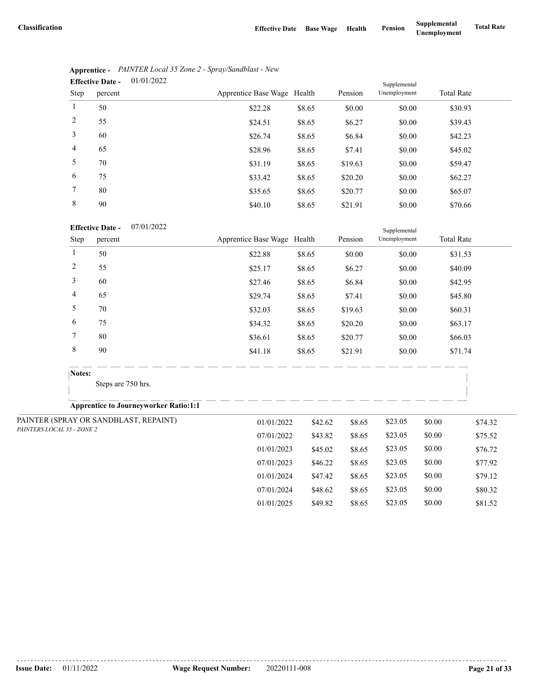07/01/2024 \$48.62 \$8.65 \$23.05 \$0.00 \$80.32 01/01/2025 \$49.82 \$8.65 \$23.05 \$0.00 \$81.52

|                | 01/01/2022<br><b>Effective Date -</b> | Supplemental                |        |         |              |                   |  |  |
|----------------|---------------------------------------|-----------------------------|--------|---------|--------------|-------------------|--|--|
| Step           | percent                               | Apprentice Base Wage Health |        | Pension | Unemployment | <b>Total Rate</b> |  |  |
| 1              | 50                                    | \$22.28                     | \$8.65 | \$0.00  | \$0.00       | \$30.93           |  |  |
| 2              | 55                                    | \$24.51                     | \$8.65 | \$6.27  | \$0.00       | \$39.43           |  |  |
| 3              | 60                                    | \$26.74                     | \$8.65 | \$6.84  | \$0.00       | \$42.23           |  |  |
| $\overline{4}$ | 65                                    | \$28.96                     | \$8.65 | \$7.41  | \$0.00       | \$45.02           |  |  |
| 5              | 70                                    | \$31.19                     | \$8.65 | \$19.63 | \$0.00       | \$59.47           |  |  |
| 6              | 75                                    | \$33.42                     | \$8.65 | \$20.20 | \$0.00       | \$62.27           |  |  |
| 7              | 80                                    | \$35.65                     | \$8.65 | \$20.77 | \$0.00       | \$65.07           |  |  |
| 8              | 90                                    | \$40.10                     | \$8.65 | \$21.91 | \$0.00       | \$70.66           |  |  |

|                | Apprentice - PAINTER Local 35 Zone 2 - Spray/Sandblast - New |
|----------------|--------------------------------------------------------------|
| Effective Date | 01/01/2022                                                   |

### 07/01/2022 **Effective Date -**

| <b>Effective Date -</b><br>07/01/2022 |                |                                              |                             |         |         | Supplemental |         |                   |
|---------------------------------------|----------------|----------------------------------------------|-----------------------------|---------|---------|--------------|---------|-------------------|
|                                       | Step           | percent                                      | Apprentice Base Wage Health |         | Pension | Unemployment |         | <b>Total Rate</b> |
|                                       | $\mathbf{1}$   | 50                                           | \$22.88                     | \$8.65  | \$0.00  | \$0.00       |         | \$31.53           |
|                                       | $\overline{c}$ | 55                                           | \$25.17                     | \$8.65  | \$6.27  | \$0.00       |         | \$40.09           |
|                                       | 3              | 60                                           | \$27.46                     | \$8.65  | \$6.84  | \$0.00       |         | \$42.95           |
|                                       | 4              | 65                                           | \$29.74                     | \$8.65  | \$7.41  | \$0.00       |         | \$45.80           |
|                                       | 5              | 70                                           | \$32.03                     | \$8.65  | \$19.63 | \$0.00       |         | \$60.31           |
|                                       | 6              | 75                                           | \$34.32                     | \$8.65  | \$20.20 | \$0.00       |         | \$63.17           |
|                                       | 7              | 80                                           | \$36.61                     | \$8.65  | \$20.77 | \$0.00       |         | \$66.03           |
|                                       | 8              | 90                                           | \$41.18                     | \$8.65  | \$21.91 | \$0.00       |         | \$71.74           |
|                                       | Notes:         |                                              |                             |         |         |              |         |                   |
|                                       |                | Steps are 750 hrs.                           |                             |         |         |              |         |                   |
|                                       |                | <b>Apprentice to Journeyworker Ratio:1:1</b> |                             |         |         |              |         |                   |
|                                       |                | PAINTER (SPRAY OR SANDBLAST, REPAINT)        | 01/01/2022                  | \$42.62 | \$8.65  | \$23.05      | \$0.00  | \$74.32           |
| PAINTERS LOCAL 35 - ZONE 2            |                | 07/01/2022                                   | \$43.82                     | \$8.65  | \$23.05 | \$0.00       | \$75.52 |                   |
|                                       |                |                                              | 01/01/2023                  | \$45.02 | \$8.65  | \$23.05      | \$0.00  | \$76.72           |
|                                       |                |                                              | 07/01/2023                  | \$46.22 | \$8.65  | \$23.05      | \$0.00  | \$77.92           |
|                                       |                |                                              | 01/01/2024                  | \$47.42 | \$8.65  | \$23.05      | \$0.00  | \$79.12           |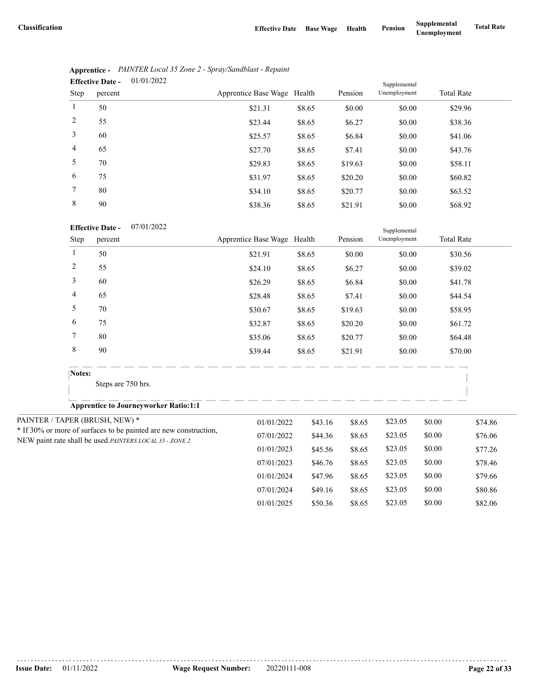|                | 01/01/2022<br><b>Effective Date -</b> |                             |        |         | Supplemental |                   |  |
|----------------|---------------------------------------|-----------------------------|--------|---------|--------------|-------------------|--|
| Step           | percent                               | Apprentice Base Wage Health |        | Pension | Unemployment | <b>Total Rate</b> |  |
| $\mathbf{1}$   | 50                                    | \$21.31                     | \$8.65 | \$0.00  | \$0.00       | \$29.96           |  |
| 2              | 55                                    | \$23.44                     | \$8.65 | \$6.27  | \$0.00       | \$38.36           |  |
| 3              | 60                                    | \$25.57                     | \$8.65 | \$6.84  | \$0.00       | \$41.06           |  |
| $\overline{4}$ | 65                                    | \$27.70                     | \$8.65 | \$7.41  | \$0.00       | \$43.76           |  |
| 5              | 70                                    | \$29.83                     | \$8.65 | \$19.63 | \$0.00       | \$58.11           |  |
| 6              | 75                                    | \$31.97                     | \$8.65 | \$20.20 | \$0.00       | \$60.82           |  |
| 7              | 80                                    | \$34.10                     | \$8.65 | \$20.77 | \$0.00       | \$63.52           |  |
| 8              | 90                                    | \$38.36                     | \$8.65 | \$21.91 | \$0.00       | \$68.92           |  |

|                               | Apprentice - PAINTER Local 35 Zone 2 - Spray/Sandblast - Repaint |
|-------------------------------|------------------------------------------------------------------|
| Effective Date $-$ 01/01/2022 |                                                                  |

| 07/01/2022 |
|------------|
|            |

|                | <b>Effective Date -</b><br>07/01/2022                            |                             | Supplemental |         |              |        |                   |
|----------------|------------------------------------------------------------------|-----------------------------|--------------|---------|--------------|--------|-------------------|
| Step           | percent                                                          | Apprentice Base Wage Health |              | Pension | Unemployment |        | <b>Total Rate</b> |
| $\mathbf{1}$   | 50                                                               | \$21.91                     | \$8.65       | \$0.00  | \$0.00       |        | \$30.56           |
| $\overline{c}$ | 55                                                               | \$24.10                     | \$8.65       | \$6.27  | \$0.00       |        | \$39.02           |
| 3              | 60                                                               | \$26.29                     | \$8.65       | \$6.84  | \$0.00       |        | \$41.78           |
| 4              | 65                                                               | \$28.48                     | \$8.65       | \$7.41  | \$0.00       |        | \$44.54           |
| 5              | 70                                                               | \$30.67                     | \$8.65       | \$19.63 | \$0.00       |        | \$58.95           |
| 6              | 75                                                               | \$32.87                     | \$8.65       | \$20.20 | \$0.00       |        | \$61.72           |
| 7              | 80                                                               | \$35.06                     | \$8.65       | \$20.77 | \$0.00       |        | \$64.48           |
| $\,8\,$        | 90                                                               | \$39.44                     | \$8.65       | \$21.91 | \$0.00       |        | \$70.00           |
| Notes:         |                                                                  |                             |              |         |              |        |                   |
|                | Steps are 750 hrs.                                               |                             |              |         |              |        |                   |
|                | <b>Apprentice to Journeyworker Ratio:1:1</b>                     |                             |              |         |              |        |                   |
|                | PAINTER / TAPER (BRUSH, NEW) *                                   | 01/01/2022                  | \$43.16      | \$8.65  | \$23.05      | \$0.00 | \$74.86           |
|                | * If 30% or more of surfaces to be painted are new construction, | 07/01/2022                  | \$44.36      | \$8.65  | \$23.05      | \$0.00 | \$76.06           |
|                | NEW paint rate shall be used.PAINTERS LOCAL 35 - ZONE 2          | 01/01/2023                  | \$45.56      | \$8.65  | \$23.05      | \$0.00 | \$77.26           |
|                |                                                                  | 07/01/2023                  | \$46.76      | \$8.65  | \$23.05      | \$0.00 | \$78.46           |
|                |                                                                  | 01/01/2024                  | \$47.96      | \$8.65  | \$23.05      | \$0.00 | \$79.66           |
|                |                                                                  | 07/01/2024                  | \$49.16      | \$8.65  | \$23.05      | \$0.00 | \$80.86           |
|                |                                                                  | 01/01/2025                  | \$50.36      | \$8.65  | \$23.05      | \$0.00 | \$82.06           |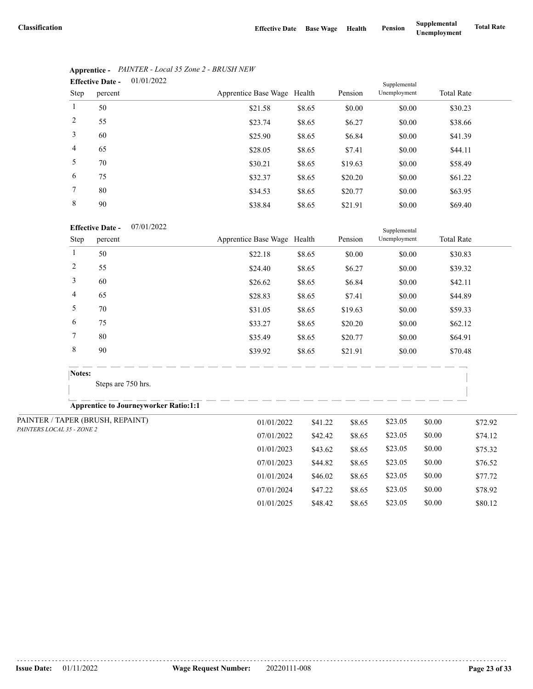07/01/2024 \$47.22 \$8.65 \$23.05 \$0.00 \$78.92 01/01/2025 \$48.42 \$8.65 \$23.05 \$0.00 \$80.12

|                | 01/01/2022<br><b>Effective Date -</b> |                             |        |         | Supplemental |                   |  |
|----------------|---------------------------------------|-----------------------------|--------|---------|--------------|-------------------|--|
| Step           | percent                               | Apprentice Base Wage Health |        | Pension | Unemployment | <b>Total Rate</b> |  |
| $\mathbf{1}$   | 50                                    | \$21.58                     | \$8.65 | \$0.00  | \$0.00       | \$30.23           |  |
| 2              | 55                                    | \$23.74                     | \$8.65 | \$6.27  | \$0.00       | \$38.66           |  |
| 3              | 60                                    | \$25.90                     | \$8.65 | \$6.84  | \$0.00       | \$41.39           |  |
| $\overline{4}$ | 65                                    | \$28.05                     | \$8.65 | \$7.41  | \$0.00       | \$44.11           |  |
| 5              | 70                                    | \$30.21                     | \$8.65 | \$19.63 | \$0.00       | \$58.49           |  |
| 6              | 75                                    | \$32.37                     | \$8.65 | \$20.20 | \$0.00       | \$61.22           |  |
| 7              | 80                                    | \$34.53                     | \$8.65 | \$20.77 | \$0.00       | \$63.95           |  |
| 8              | 90                                    | \$38.84                     | \$8.65 | \$21.91 | \$0.00       | \$69.40           |  |

# **Apprentice -** *PAINTER - Local 35 Zone 2 - BRUSH NEW*

### 07/01/2022 **Effective Date -**

|                            | <b>Effective Date -</b><br>07/01/2022        |                             | Supplemental |         |              |        |                   |  |
|----------------------------|----------------------------------------------|-----------------------------|--------------|---------|--------------|--------|-------------------|--|
| Step                       | percent                                      | Apprentice Base Wage Health |              | Pension | Unemployment |        | <b>Total Rate</b> |  |
| 1                          | 50                                           | \$22.18                     | \$8.65       | \$0.00  | \$0.00       |        | \$30.83           |  |
| $\overline{c}$             | 55                                           | \$24.40                     | \$8.65       | \$6.27  | \$0.00       |        | \$39.32           |  |
| 3                          | 60                                           | \$26.62                     | \$8.65       | \$6.84  | \$0.00       |        | \$42.11           |  |
| 4                          | 65                                           | \$28.83                     | \$8.65       | \$7.41  | \$0.00       |        | \$44.89           |  |
| 5                          | 70                                           | \$31.05                     | \$8.65       | \$19.63 | \$0.00       |        | \$59.33           |  |
| 6                          | 75                                           | \$33.27                     | \$8.65       | \$20.20 | \$0.00       |        | \$62.12           |  |
| 7                          | 80                                           | \$35.49                     | \$8.65       | \$20.77 | \$0.00       |        | \$64.91           |  |
| $\,$ 8 $\,$                | 90                                           | \$39.92                     | \$8.65       | \$21.91 | \$0.00       |        | \$70.48           |  |
|                            | Notes:                                       |                             |              |         |              |        |                   |  |
|                            | Steps are 750 hrs.                           |                             |              |         |              |        |                   |  |
|                            | <b>Apprentice to Journeyworker Ratio:1:1</b> |                             |              |         |              |        |                   |  |
|                            | PAINTER / TAPER (BRUSH, REPAINT)             | 01/01/2022                  | \$41.22      | \$8.65  | \$23.05      | \$0.00 | \$72.92           |  |
| PAINTERS LOCAL 35 - ZONE 2 |                                              | 07/01/2022                  | \$42.42      | \$8.65  | \$23.05      | \$0.00 | \$74.12           |  |
|                            |                                              | 01/01/2023                  | \$43.62      | \$8.65  | \$23.05      | \$0.00 | \$75.32           |  |
|                            |                                              | 07/01/2023                  | \$44.82      | \$8.65  | \$23.05      | \$0.00 | \$76.52           |  |
|                            |                                              | 01/01/2024                  | \$46.02      | \$8.65  | \$23.05      | \$0.00 | \$77.72           |  |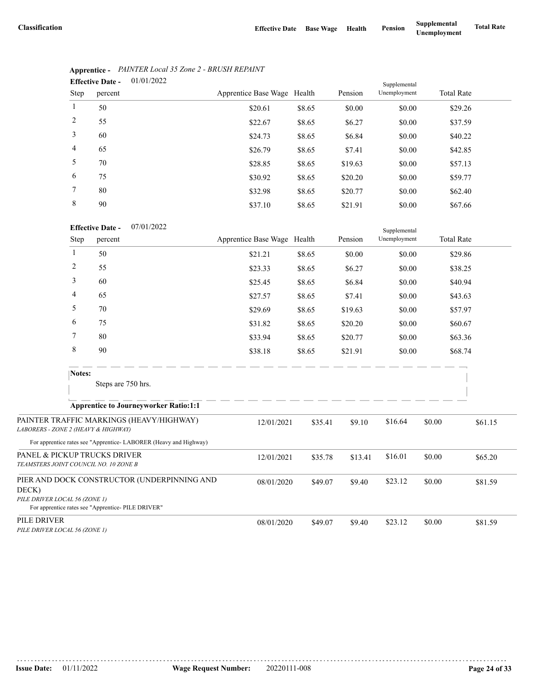Supplemental

|                | 01/01/2022<br><b>Effective Date -</b> |                             |        |         | Supplemental |                   |  |
|----------------|---------------------------------------|-----------------------------|--------|---------|--------------|-------------------|--|
| Step           | percent                               | Apprentice Base Wage Health |        | Pension | Unemployment | <b>Total Rate</b> |  |
| $\mathbf{1}$   | 50                                    | \$20.61                     | \$8.65 | \$0.00  | \$0.00       | \$29.26           |  |
| 2              | 55                                    | \$22.67                     | \$8.65 | \$6.27  | \$0.00       | \$37.59           |  |
| 3              | 60                                    | \$24.73                     | \$8.65 | \$6.84  | \$0.00       | \$40.22           |  |
| $\overline{4}$ | 65                                    | \$26.79                     | \$8.65 | \$7.41  | \$0.00       | \$42.85           |  |
| 5              | 70                                    | \$28.85                     | \$8.65 | \$19.63 | \$0.00       | \$57.13           |  |
| 6              | 75                                    | \$30.92                     | \$8.65 | \$20.20 | \$0.00       | \$59.77           |  |
| 7              | 80                                    | \$32.98                     | \$8.65 | \$20.77 | \$0.00       | \$62.40           |  |
| 8              | 90                                    | \$37.10                     | \$8.65 | \$21.91 | \$0.00       | \$67.66           |  |

# **Apprentice -** *PAINTER Local 35 Zone 2 - BRUSH REPAINT*

| <b>Effective Date -</b> | 07/01/2022 |
|-------------------------|------------|
|                         |            |

|                                                                       | Step   | percent                                                                                                      | Apprentice Base Wage Health |         | Pension | Unemployment |        | <b>Total Rate</b> |
|-----------------------------------------------------------------------|--------|--------------------------------------------------------------------------------------------------------------|-----------------------------|---------|---------|--------------|--------|-------------------|
|                                                                       | 1      | 50                                                                                                           | \$21.21                     | \$8.65  | \$0.00  | \$0.00       |        | \$29.86           |
|                                                                       | 2      | 55                                                                                                           | \$23.33                     | \$8.65  | \$6.27  | \$0.00       |        | \$38.25           |
|                                                                       | 3      | 60                                                                                                           | \$25.45                     | \$8.65  | \$6.84  | \$0.00       |        | \$40.94           |
|                                                                       | 4      | 65                                                                                                           | \$27.57                     | \$8.65  | \$7.41  | \$0.00       |        | \$43.63           |
|                                                                       | 5      | 70                                                                                                           | \$29.69                     | \$8.65  | \$19.63 | \$0.00       |        | \$57.97           |
|                                                                       | 6      | 75                                                                                                           | \$31.82                     | \$8.65  | \$20.20 | \$0.00       |        | \$60.67           |
|                                                                       | 7      | 80                                                                                                           | \$33.94                     | \$8.65  | \$20.77 | \$0.00       |        | \$63.36           |
|                                                                       | 8      | 90                                                                                                           | \$38.18                     | \$8.65  | \$21.91 | \$0.00       |        | \$68.74           |
|                                                                       | Notes: | Steps are 750 hrs.                                                                                           |                             |         |         |              |        |                   |
|                                                                       |        | <b>Apprentice to Journeyworker Ratio:1:1</b>                                                                 |                             |         |         |              |        |                   |
| LABORERS - ZONE 2 (HEAVY & HIGHWAY)                                   |        | PAINTER TRAFFIC MARKINGS (HEAVY/HIGHWAY)<br>For apprentice rates see "Apprentice-LABORER (Heavy and Highway) | 12/01/2021                  | \$35.41 | \$9.10  | \$16.64      | \$0.00 | \$61.15           |
| PANEL & PICKUP TRUCKS DRIVER<br>TEAMSTERS JOINT COUNCIL NO. 10 ZONE B |        |                                                                                                              | 12/01/2021                  | \$35.78 | \$13.41 | \$16.01      | \$0.00 | \$65.20           |
| DECK)<br>PILE DRIVER LOCAL 56 (ZONE 1)                                |        | PIER AND DOCK CONSTRUCTOR (UNDERPINNING AND<br>For apprentice rates see "Apprentice- PILE DRIVER"            | 08/01/2020                  | \$49.07 | \$9.40  | \$23.12      | \$0.00 | \$81.59           |
| PILE DRIVER<br>PILE DRIVER LOCAL 56 (ZONE 1)                          |        |                                                                                                              | 08/01/2020                  | \$49.07 | \$9.40  | \$23.12      | \$0.00 | \$81.59           |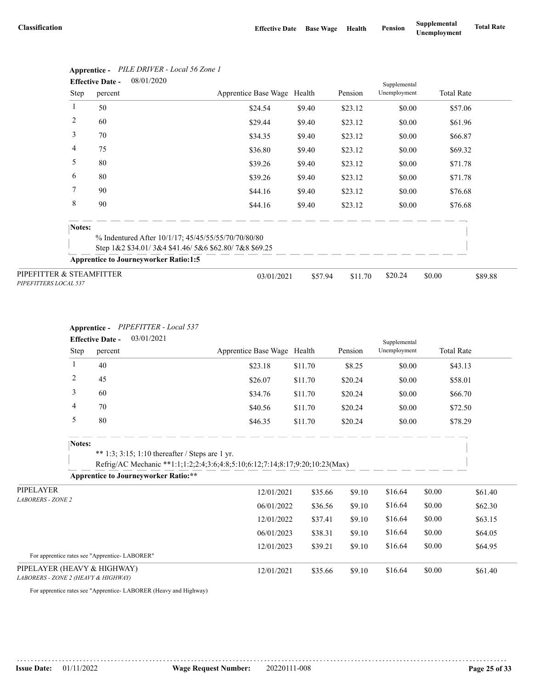| 08/01/2020<br><b>Effective Date -</b>             |        |                                                      |                             |         |         | Supplemental |                   |         |
|---------------------------------------------------|--------|------------------------------------------------------|-----------------------------|---------|---------|--------------|-------------------|---------|
|                                                   | Step   | percent                                              | Apprentice Base Wage Health |         | Pension | Unemployment | <b>Total Rate</b> |         |
| 1                                                 | 50     |                                                      | \$24.54                     | \$9.40  | \$23.12 | \$0.00       | \$57.06           |         |
| 2                                                 | 60     |                                                      | \$29.44                     | \$9.40  | \$23.12 | \$0.00       | \$61.96           |         |
| 3                                                 | 70     |                                                      | \$34.35                     | \$9.40  | \$23.12 | \$0.00       | \$66.87           |         |
| 4                                                 | 75     |                                                      | \$36.80                     | \$9.40  | \$23.12 | \$0.00       | \$69.32           |         |
| 5                                                 | 80     |                                                      | \$39.26                     | \$9.40  | \$23.12 | \$0.00       | \$71.78           |         |
| 6                                                 | 80     |                                                      | \$39.26                     | \$9.40  | \$23.12 | \$0.00       | \$71.78           |         |
| 7                                                 | 90     |                                                      | \$44.16                     | \$9.40  | \$23.12 | \$0.00       | \$76.68           |         |
| 8                                                 | 90     |                                                      | \$44.16                     | \$9.40  | \$23.12 | \$0.00       | \$76.68           |         |
|                                                   | Notes: |                                                      |                             |         |         |              |                   |         |
|                                                   |        | % Indentured After 10/1/17; 45/45/55/55/70/70/80/80  |                             |         |         |              |                   |         |
|                                                   |        | Step 1&2 \$34.01/3&4 \$41.46/5&6 \$62.80/7&8 \$69.25 |                             |         |         |              |                   |         |
|                                                   |        | <b>Apprentice to Journeyworker Ratio:1:5</b>         |                             |         |         |              |                   |         |
| PIPEFITTER & STEAMFITTER<br>PIPEFITTERS LOCAL 537 |        |                                                      | 03/01/2021                  | \$57.94 | \$11.70 | \$20.24      | \$0.00            | \$89.88 |

# **Apprentice -** *PILE DRIVER - Local 56 Zone 1*

## **Apprentice -** *PIPEFITTER - Local 537*

|                                                                    | 03/01/2021<br><b>Effective Date -</b> |         |                                                                                                                                 |                             |         |         | Supplemental |                   |         |
|--------------------------------------------------------------------|---------------------------------------|---------|---------------------------------------------------------------------------------------------------------------------------------|-----------------------------|---------|---------|--------------|-------------------|---------|
|                                                                    | Step                                  | percent |                                                                                                                                 | Apprentice Base Wage Health |         | Pension | Unemployment | <b>Total Rate</b> |         |
|                                                                    | 1                                     | 40      |                                                                                                                                 | \$23.18                     | \$11.70 | \$8.25  | \$0.00       | \$43.13           |         |
|                                                                    | $\overline{c}$                        | 45      |                                                                                                                                 | \$26.07                     | \$11.70 | \$20.24 | \$0.00       | \$58.01           |         |
|                                                                    | 3                                     | 60      |                                                                                                                                 | \$34.76                     | \$11.70 | \$20.24 | \$0.00       | \$66.70           |         |
|                                                                    | 4                                     | 70      |                                                                                                                                 | \$40.56                     | \$11.70 | \$20.24 | \$0.00       | \$72.50           |         |
|                                                                    | 5                                     | 80      |                                                                                                                                 | \$46.35                     | \$11.70 | \$20.24 | \$0.00       | \$78.29           |         |
|                                                                    | Notes:                                |         | ** 1:3; 3:15; 1:10 thereafter / Steps are 1 yr.<br>Refrig/AC Mechanic **1:1;1:2;2:4;3:6;4:8;5:10;6:12;7:14;8:17;9:20;10:23(Max) |                             |         |         |              |                   |         |
|                                                                    |                                       |         | <b>Apprentice to Journeyworker Ratio:**</b>                                                                                     |                             |         |         |              |                   |         |
| PIPELAYER                                                          |                                       |         |                                                                                                                                 | 12/01/2021                  | \$35.66 | \$9.10  | \$16.64      | \$0.00            | \$61.40 |
| <b>LABORERS - ZONE 2</b>                                           |                                       |         |                                                                                                                                 | 06/01/2022                  | \$36.56 | \$9.10  | \$16.64      | \$0.00            | \$62.30 |
|                                                                    |                                       |         |                                                                                                                                 | 12/01/2022                  | \$37.41 | \$9.10  | \$16.64      | \$0.00            | \$63.15 |
|                                                                    |                                       |         |                                                                                                                                 | 06/01/2023                  | \$38.31 | \$9.10  | \$16.64      | \$0.00            | \$64.05 |
|                                                                    |                                       |         |                                                                                                                                 | 12/01/2023                  | \$39.21 | \$9.10  | \$16.64      | \$0.00            | \$64.95 |
| For apprentice rates see "Apprentice-LABORER"                      |                                       |         |                                                                                                                                 |                             |         |         |              |                   |         |
| PIPELAYER (HEAVY & HIGHWAY)<br>LABORERS - ZONE 2 (HEAVY & HIGHWAY) |                                       |         |                                                                                                                                 | 12/01/2021                  | \$35.66 | \$9.10  | \$16.64      | \$0.00            | \$61.40 |

For apprentice rates see "Apprentice- LABORER (Heavy and Highway)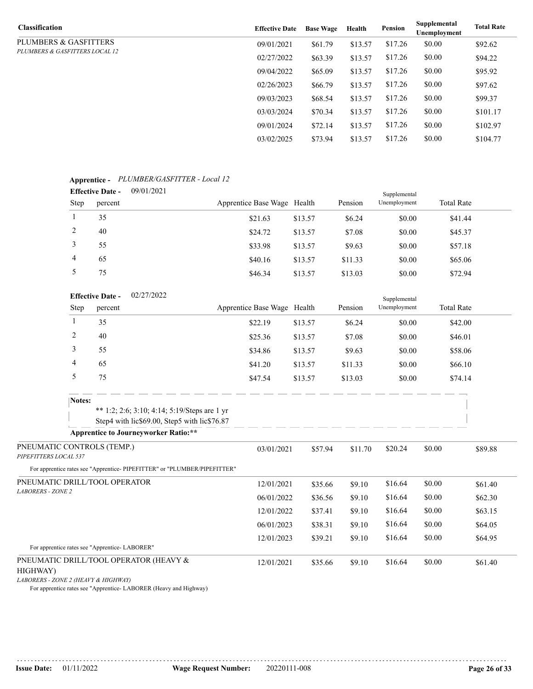| <b>Classification</b>          | <b>Effective Date</b> | <b>Base Wage</b> | Health  | <b>Pension</b> | Supplemental<br>Unemployment | <b>Total Rate</b> |
|--------------------------------|-----------------------|------------------|---------|----------------|------------------------------|-------------------|
| PLUMBERS & GASFITTERS          | 09/01/2021            | \$61.79          | \$13.57 | \$17.26        | \$0.00                       | \$92.62           |
| PLUMBERS & GASFITTERS LOCAL 12 | 02/27/2022            | \$63.39          | \$13.57 | \$17.26        | \$0.00                       | \$94.22           |
|                                | 09/04/2022            | \$65.09          | \$13.57 | \$17.26        | \$0.00                       | \$95.92           |
|                                | 02/26/2023            | \$66.79          | \$13.57 | \$17.26        | \$0.00                       | \$97.62           |
|                                | 09/03/2023            | \$68.54          | \$13.57 | \$17.26        | \$0.00                       | \$99.37           |
|                                | 03/03/2024            | \$70.34          | \$13.57 | \$17.26        | \$0.00                       | \$101.17          |
|                                | 09/01/2024            | \$72.14          | \$13.57 | \$17.26        | \$0.00                       | \$102.97          |
|                                | 03/02/2025            | \$73.94          | \$13.57 | \$17.26        | \$0.00                       | \$104.77          |

#### **Apprentice -** *PLUMBER/GASFITTER - Local 12* 09/01/2021 **Effective Date -**

|             | Littuve Date – | 0/01/2021 |                             |         |         | Supplemental |                   |  |
|-------------|----------------|-----------|-----------------------------|---------|---------|--------------|-------------------|--|
| <b>Step</b> | percent        |           | Apprentice Base Wage Health |         | Pension | Unemployment | <b>Total Rate</b> |  |
|             | 35             |           | \$21.63                     | \$13.57 | \$6.24  | \$0.00       | \$41.44           |  |
|             | 40             |           | \$24.72                     | \$13.57 | \$7.08  | \$0.00       | \$45.37           |  |
|             | 55             |           | \$33.98                     | \$13.57 | \$9.63  | \$0.00       | \$57.18           |  |
| 4           | 65             |           | \$40.16                     | \$13.57 | \$11.33 | \$0.00       | \$65.06           |  |
|             | 75             |           | \$46.34                     | \$13.57 | \$13.03 | \$0.00       | \$72.94           |  |

|                                                     |                | <b>Effective Date -</b> | 02/27/2022                                                                                   |                             |         |         | Supplemental |        |                   |
|-----------------------------------------------------|----------------|-------------------------|----------------------------------------------------------------------------------------------|-----------------------------|---------|---------|--------------|--------|-------------------|
|                                                     | Step           | percent                 |                                                                                              | Apprentice Base Wage Health |         | Pension | Unemployment |        | <b>Total Rate</b> |
|                                                     |                | 35                      |                                                                                              | \$22.19                     | \$13.57 | \$6.24  | \$0.00       |        | \$42.00           |
|                                                     | $\overline{c}$ | 40                      |                                                                                              | \$25.36                     | \$13.57 | \$7.08  | \$0.00       |        | \$46.01           |
|                                                     | 3              | 55                      |                                                                                              | \$34.86                     | \$13.57 | \$9.63  | \$0.00       |        | \$58.06           |
|                                                     | 4              | 65                      |                                                                                              | \$41.20                     | \$13.57 | \$11.33 | \$0.00       |        | \$66.10           |
|                                                     | 5              | 75                      |                                                                                              | \$47.54                     | \$13.57 | \$13.03 | \$0.00       |        | \$74.14           |
|                                                     | Notes:         |                         |                                                                                              |                             |         |         |              |        |                   |
|                                                     |                |                         | ** 1:2; 2:6; 3:10; 4:14; 5:19/Steps are 1 yr<br>Step4 with lic\$69.00, Step5 with lic\$76.87 |                             |         |         |              |        |                   |
|                                                     |                |                         | <b>Apprentice to Journeyworker Ratio:**</b>                                                  |                             |         |         |              |        |                   |
| PNEUMATIC CONTROLS (TEMP.)<br>PIPEFITTERS LOCAL 537 |                |                         |                                                                                              | 03/01/2021                  | \$57.94 | \$11.70 | \$20.24      | \$0.00 | \$89.88           |
|                                                     |                |                         | For apprentice rates see "Apprentice-PIPEFITTER" or "PLUMBER/PIPEFITTER"                     |                             |         |         |              |        |                   |
| PNEUMATIC DRILL/TOOL OPERATOR                       |                |                         |                                                                                              | 12/01/2021                  | \$35.66 | \$9.10  | \$16.64      | \$0.00 | \$61.40           |
| <b>LABORERS - ZONE 2</b>                            |                |                         |                                                                                              | 06/01/2022                  | \$36.56 | \$9.10  | \$16.64      | \$0.00 | \$62.30           |
|                                                     |                |                         |                                                                                              | 12/01/2022                  | \$37.41 | \$9.10  | \$16.64      | \$0.00 | \$63.15           |
|                                                     |                |                         |                                                                                              | 06/01/2023                  | \$38.31 | \$9.10  | \$16.64      | \$0.00 | \$64.05           |
|                                                     |                |                         |                                                                                              | 12/01/2023                  | \$39.21 | \$9.10  | \$16.64      | \$0.00 | \$64.95           |

# For apprentice rates see "Apprentice- LABORER"

## PNEUMATIC DRILL/TOOL OPERATOR (HEAVY &

## HIGHWAY)

*LABORERS - ZONE 2 (HEAVY & HIGHWAY)*

For apprentice rates see "Apprentice- LABORER (Heavy and Highway)

12/01/2021 \$35.66 \$9.10 \$16.64 \$0.00 \$61.40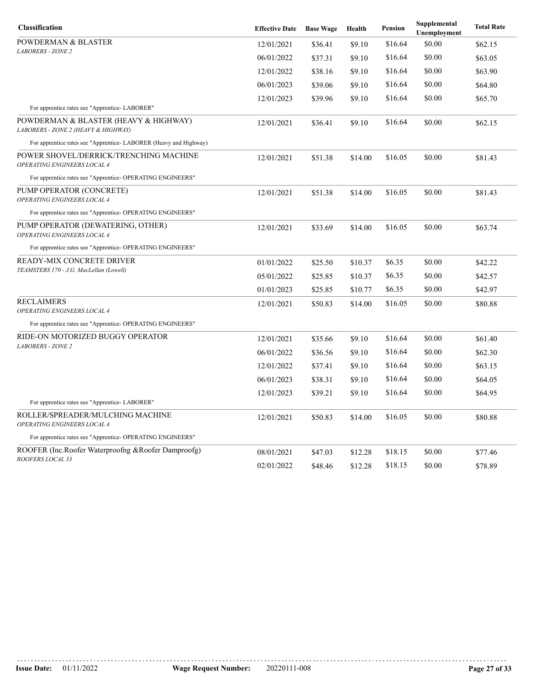| Classification                                                               | <b>Effective Date</b> | <b>Base Wage</b> | Health  | <b>Pension</b> | Supplemental<br>Unemployment | <b>Total Rate</b> |
|------------------------------------------------------------------------------|-----------------------|------------------|---------|----------------|------------------------------|-------------------|
| POWDERMAN & BLASTER                                                          | 12/01/2021            | \$36.41          | \$9.10  | \$16.64        | \$0.00                       | \$62.15           |
| <b>LABORERS - ZONE 2</b>                                                     | 06/01/2022            | \$37.31          | \$9.10  | \$16.64        | \$0.00                       | \$63.05           |
|                                                                              | 12/01/2022            | \$38.16          | \$9.10  | \$16.64        | \$0.00                       | \$63.90           |
|                                                                              | 06/01/2023            | \$39.06          | \$9.10  | \$16.64        | \$0.00                       | \$64.80           |
|                                                                              | 12/01/2023            | \$39.96          | \$9.10  | \$16.64        | \$0.00                       | \$65.70           |
| For apprentice rates see "Apprentice-LABORER"                                |                       |                  |         |                |                              |                   |
| POWDERMAN & BLASTER (HEAVY & HIGHWAY)<br>LABORERS - ZONE 2 (HEAVY & HIGHWAY) | 12/01/2021            | \$36.41          | \$9.10  | \$16.64        | \$0.00                       | \$62.15           |
| For apprentice rates see "Apprentice- LABORER (Heavy and Highway)            |                       |                  |         |                |                              |                   |
| POWER SHOVEL/DERRICK/TRENCHING MACHINE<br>OPERATING ENGINEERS LOCAL 4        | 12/01/2021            | \$51.38          | \$14.00 | \$16.05        | \$0.00                       | \$81.43           |
| For apprentice rates see "Apprentice- OPERATING ENGINEERS"                   |                       |                  |         |                |                              |                   |
| PUMP OPERATOR (CONCRETE)<br>OPERATING ENGINEERS LOCAL 4                      | 12/01/2021            | \$51.38          | \$14.00 | \$16.05        | \$0.00                       | \$81.43           |
| For apprentice rates see "Apprentice- OPERATING ENGINEERS"                   |                       |                  |         |                |                              |                   |
| PUMP OPERATOR (DEWATERING, OTHER)<br>OPERATING ENGINEERS LOCAL 4             | 12/01/2021            | \$33.69          | \$14.00 | \$16.05        | \$0.00                       | \$63.74           |
| For apprentice rates see "Apprentice- OPERATING ENGINEERS"                   |                       |                  |         |                |                              |                   |
| READY-MIX CONCRETE DRIVER                                                    | 01/01/2022            | \$25.50          | \$10.37 | \$6.35         | \$0.00                       | \$42.22           |
| TEAMSTERS 170 - J.G. MacLellan (Lowell)                                      | 05/01/2022            | \$25.85          | \$10.37 | \$6.35         | \$0.00                       | \$42.57           |
|                                                                              | 01/01/2023            | \$25.85          | \$10.77 | \$6.35         | \$0.00                       | \$42.97           |
| RECLAIMERS                                                                   | 12/01/2021            | \$50.83          | \$14.00 | \$16.05        | \$0.00                       | \$80.88           |
| <b>OPERATING ENGINEERS LOCAL 4</b>                                           |                       |                  |         |                |                              |                   |
| For apprentice rates see "Apprentice- OPERATING ENGINEERS"                   |                       |                  |         |                |                              |                   |
| RIDE-ON MOTORIZED BUGGY OPERATOR<br><b>LABORERS - ZONE 2</b>                 | 12/01/2021            | \$35.66          | \$9.10  | \$16.64        | \$0.00                       | \$61.40           |
|                                                                              | 06/01/2022            | \$36.56          | \$9.10  | \$16.64        | \$0.00                       | \$62.30           |
|                                                                              | 12/01/2022            | \$37.41          | \$9.10  | \$16.64        | \$0.00                       | \$63.15           |
|                                                                              | 06/01/2023            | \$38.31          | \$9.10  | \$16.64        | \$0.00                       | \$64.05           |
|                                                                              | 12/01/2023            | \$39.21          | \$9.10  | \$16.64        | \$0.00                       | \$64.95           |
| For apprentice rates see "Apprentice-LABORER"                                |                       |                  |         |                |                              |                   |
| ROLLER/SPREADER/MULCHING MACHINE<br><b>OPERATING ENGINEERS LOCAL 4</b>       | 12/01/2021            | \$50.83          | \$14.00 | \$16.05        | \$0.00                       | \$80.88           |
| For apprentice rates see "Apprentice- OPERATING ENGINEERS"                   |                       |                  |         |                |                              |                   |
| ROOFER (Inc.Roofer Waterproofng &Roofer Damproofg)                           | 08/01/2021            | \$47.03          | \$12.28 | \$18.15        | \$0.00                       | \$77.46           |
| ROOFERS LOCAL 33                                                             | 02/01/2022            | \$48.46          | \$12.28 | \$18.15        | \$0.00                       | \$78.89           |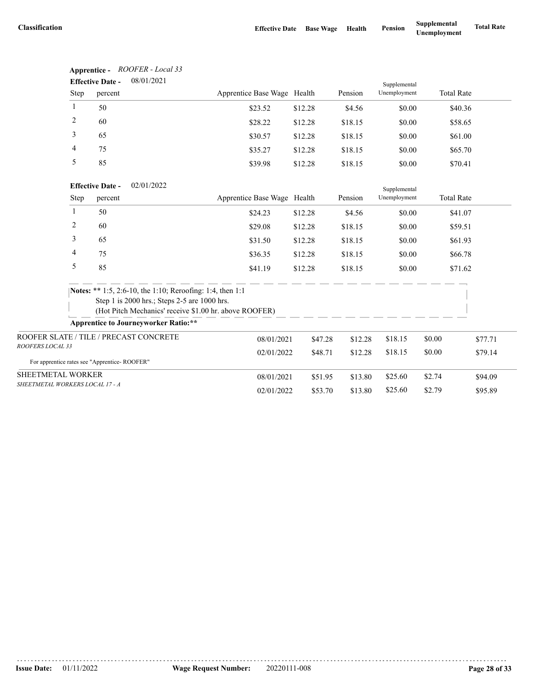**Apprentice -** *ROOFER - Local 33*

|                                              | <b>Effective Date -</b> | 08/01/2021                                                |                             |         |         | Supplemental |                   |         |
|----------------------------------------------|-------------------------|-----------------------------------------------------------|-----------------------------|---------|---------|--------------|-------------------|---------|
| Step                                         | percent                 |                                                           | Apprentice Base Wage Health |         | Pension | Unemployment | <b>Total Rate</b> |         |
| 1                                            | 50                      |                                                           | \$23.52                     | \$12.28 | \$4.56  | \$0.00       | \$40.36           |         |
| $\overline{c}$                               | 60                      |                                                           | \$28.22                     | \$12.28 | \$18.15 | \$0.00       | \$58.65           |         |
| 3                                            | 65                      |                                                           | \$30.57                     | \$12.28 | \$18.15 | \$0.00       | \$61.00           |         |
| 4                                            | 75                      |                                                           | \$35.27                     | \$12.28 | \$18.15 | \$0.00       | \$65.70           |         |
| 5                                            | 85                      |                                                           | \$39.98                     | \$12.28 | \$18.15 | \$0.00       | \$70.41           |         |
|                                              | <b>Effective Date -</b> | 02/01/2022                                                |                             |         |         | Supplemental |                   |         |
| Step                                         | percent                 |                                                           | Apprentice Base Wage Health |         | Pension | Unemployment | <b>Total Rate</b> |         |
| $\mathbf{1}$                                 | 50                      |                                                           | \$24.23                     | \$12.28 | \$4.56  | \$0.00       | \$41.07           |         |
| 2                                            | 60                      |                                                           | \$29.08                     | \$12.28 | \$18.15 | \$0.00       | \$59.51           |         |
| 3                                            | 65                      |                                                           | \$31.50                     | \$12.28 | \$18.15 | \$0.00       | \$61.93           |         |
| 4                                            | 75                      |                                                           | \$36.35                     | \$12.28 | \$18.15 | \$0.00       | \$66.78           |         |
| 5                                            | 85                      |                                                           | \$41.19                     | \$12.28 | \$18.15 | \$0.00       | \$71.62           |         |
|                                              |                         | Notes: ** 1:5, 2:6-10, the 1:10; Reroofing: 1:4, then 1:1 |                             |         |         |              |                   |         |
|                                              |                         | Step 1 is 2000 hrs.; Steps 2-5 are 1000 hrs.              |                             |         |         |              |                   |         |
|                                              |                         | (Hot Pitch Mechanics' receive \$1.00 hr. above ROOFER)    |                             |         |         |              |                   |         |
|                                              |                         | <b>Apprentice to Journeyworker Ratio:**</b>               |                             |         |         |              |                   |         |
| ROOFER SLATE / TILE / PRECAST CONCRETE       |                         |                                                           | 08/01/2021                  | \$47.28 | \$12.28 | \$18.15      | \$0.00            | \$77.71 |
| ROOFERS LOCAL 33                             |                         |                                                           | 02/01/2022                  | \$48.71 | \$12.28 | \$18.15      | \$0.00            | \$79.14 |
| For apprentice rates see "Apprentice-ROOFER" |                         |                                                           |                             |         |         |              |                   |         |
| SHEETMETAL WORKER                            |                         |                                                           | 08/01/2021                  | \$51.95 | \$13.80 | \$25.60      | \$2.74            | \$94.09 |
| SHEETMETAL WORKERS LOCAL 17 - A              |                         |                                                           | 02/01/2022                  | \$53.70 | \$13.80 | \$25.60      | \$2.79            | \$95.89 |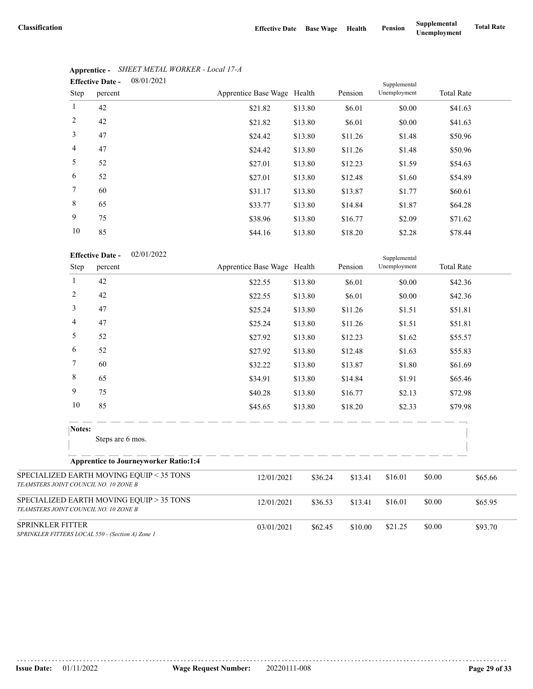|        | <b>Effective Date -</b> | 08/01/2021 |                             |         |         | Supplemental |                   |  |
|--------|-------------------------|------------|-----------------------------|---------|---------|--------------|-------------------|--|
| Step   | percent                 |            | Apprentice Base Wage Health |         | Pension | Unemployment | <b>Total Rate</b> |  |
| 1      | 42                      |            | \$21.82                     | \$13.80 | \$6.01  | \$0.00       | \$41.63           |  |
| 2      | 42                      |            | \$21.82                     | \$13.80 | \$6.01  | \$0.00       | \$41.63           |  |
| 3      | 47                      |            | \$24.42                     | \$13.80 | \$11.26 | \$1.48       | \$50.96           |  |
| 4      | 47                      |            | \$24.42                     | \$13.80 | \$11.26 | \$1.48       | \$50.96           |  |
| 5      | 52                      |            | \$27.01                     | \$13.80 | \$12.23 | \$1.59       | \$54.63           |  |
| 6      | 52                      |            | \$27.01                     | \$13.80 | \$12.48 | \$1.60       | \$54.89           |  |
| $\tau$ | 60                      |            | \$31.17                     | \$13.80 | \$13.87 | \$1.77       | \$60.61           |  |
| 8      | 65                      |            | \$33.77                     | \$13.80 | \$14.84 | \$1.87       | \$64.28           |  |
| 9      | 75                      |            | \$38.96                     | \$13.80 | \$16.77 | \$2.09       | \$71.62           |  |
| 10     | 85                      |            | \$44.16                     | \$13.80 | \$18.20 | \$2.28       | \$78.44           |  |

# **Apprentice -** *SHEET METAL WORKER - Local 17-A*

|                                       | 10             | 85                                               | \$44.16                     | \$13.80 | \$18.20 | \$2.28                       |        | \$78.44           |
|---------------------------------------|----------------|--------------------------------------------------|-----------------------------|---------|---------|------------------------------|--------|-------------------|
|                                       | Step           | 02/01/2022<br><b>Effective Date -</b><br>percent | Apprentice Base Wage Health |         | Pension | Supplemental<br>Unemployment |        | <b>Total Rate</b> |
|                                       | $\mathbf{1}$   | 42                                               | \$22.55                     | \$13.80 | \$6.01  | \$0.00                       |        | \$42.36           |
|                                       | $\overline{c}$ | 42                                               | \$22.55                     | \$13.80 | \$6.01  | \$0.00                       |        | \$42.36           |
|                                       | 3              | 47                                               | \$25.24                     | \$13.80 | \$11.26 | \$1.51                       |        | \$51.81           |
|                                       | 4              | 47                                               | \$25.24                     | \$13.80 | \$11.26 | \$1.51                       |        | \$51.81           |
|                                       | 5              | 52                                               | \$27.92                     | \$13.80 | \$12.23 | \$1.62                       |        | \$55.57           |
|                                       | 6              | 52                                               | \$27.92                     | \$13.80 | \$12.48 | \$1.63                       |        | \$55.83           |
|                                       | 7              | 60                                               | \$32.22                     | \$13.80 | \$13.87 | \$1.80                       |        | \$61.69           |
|                                       | 8              | 65                                               | \$34.91                     | \$13.80 | \$14.84 | \$1.91                       |        | \$65.46           |
|                                       | 9              | 75                                               | \$40.28                     | \$13.80 | \$16.77 | \$2.13                       |        | \$72.98           |
|                                       | 10             | 85                                               | \$45.65                     | \$13.80 | \$18.20 | \$2.33                       |        | \$79.98           |
|                                       | Notes:         | Steps are 6 mos.                                 |                             |         |         |                              |        |                   |
|                                       |                | <b>Apprentice to Journeyworker Ratio:1:4</b>     |                             |         |         |                              |        |                   |
| TEAMSTERS JOINT COUNCIL NO. 10 ZONE B |                | SPECIALIZED EARTH MOVING EQUIP < 35 TONS         | 12/01/2021                  | \$36.24 | \$13.41 | \$16.01                      | \$0.00 | \$65.66           |
| TEAMSTERS JOINT COUNCIL NO. 10 ZONE B |                | SPECIALIZED EARTH MOVING EQUIP > 35 TONS         | 12/01/2021                  | \$36.53 | \$13.41 | \$16.01                      | \$0.00 | \$65.95           |
| SPRINKLER FITTER                      |                | SPRINKLER FITTERS LOCAL 550 - (Section A) Zone 1 | 03/01/2021                  | \$62.45 | \$10.00 | \$21.25                      | \$0.00 | \$93.70           |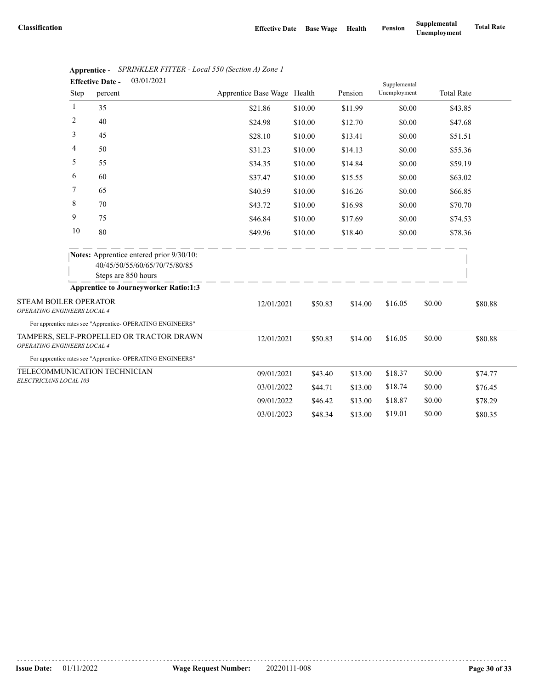|                                                             |      | 03/01/2021<br><b>Effective Date -</b>                                                                   |                             |         |         | Supplemental |        |                   |
|-------------------------------------------------------------|------|---------------------------------------------------------------------------------------------------------|-----------------------------|---------|---------|--------------|--------|-------------------|
|                                                             | Step | percent                                                                                                 | Apprentice Base Wage Health |         | Pension | Unemployment |        | <b>Total Rate</b> |
|                                                             | -1   | 35                                                                                                      | \$21.86                     | \$10.00 | \$11.99 | \$0.00       |        | \$43.85           |
|                                                             | 2    | 40                                                                                                      | \$24.98                     | \$10.00 | \$12.70 | \$0.00       |        | \$47.68           |
|                                                             | 3    | 45                                                                                                      | \$28.10                     | \$10.00 | \$13.41 | \$0.00       |        | \$51.51           |
|                                                             | 4    | 50                                                                                                      | \$31.23                     | \$10.00 | \$14.13 | \$0.00       |        | \$55.36           |
|                                                             | 5    | 55                                                                                                      | \$34.35                     | \$10.00 | \$14.84 | \$0.00       |        | \$59.19           |
|                                                             | 6    | 60                                                                                                      | \$37.47                     | \$10.00 | \$15.55 | \$0.00       |        | \$63.02           |
|                                                             | 7    | 65                                                                                                      | \$40.59                     | \$10.00 | \$16.26 | \$0.00       |        | \$66.85           |
|                                                             | 8    | 70                                                                                                      | \$43.72                     | \$10.00 | \$16.98 | \$0.00       |        | \$70.70           |
|                                                             | 9    | 75                                                                                                      | \$46.84                     | \$10.00 | \$17.69 | \$0.00       |        | \$74.53           |
|                                                             | 10   | 80                                                                                                      | \$49.96                     | \$10.00 | \$18.40 | \$0.00       |        | \$78.36           |
|                                                             |      | <b>Notes:</b> Apprentice entered prior 9/30/10:<br>40/45/50/55/60/65/70/75/80/85<br>Steps are 850 hours |                             |         |         |              |        |                   |
|                                                             |      | <b>Apprentice to Journeyworker Ratio:1:3</b>                                                            |                             |         |         |              |        |                   |
| <b>STEAM BOILER OPERATOR</b><br>OPERATING ENGINEERS LOCAL 4 |      |                                                                                                         | 12/01/2021                  | \$50.83 | \$14.00 | \$16.05      | \$0.00 | \$80.88           |
|                                                             |      | For apprentice rates see "Apprentice- OPERATING ENGINEERS"                                              |                             |         |         |              |        |                   |
| OPERATING ENGINEERS LOCAL 4                                 |      | TAMPERS, SELF-PROPELLED OR TRACTOR DRAWN                                                                | 12/01/2021                  | \$50.83 | \$14.00 | \$16.05      | \$0.00 | \$80.88           |
|                                                             |      | For apprentice rates see "Apprentice- OPERATING ENGINEERS"                                              |                             |         |         |              |        |                   |
|                                                             |      | TELECOMMUNICATION TECHNICIAN                                                                            | 09/01/2021                  | \$43.40 | \$13.00 | \$18.37      | \$0.00 | \$74.77           |
| ELECTRICIANS LOCAL 103                                      |      |                                                                                                         | 03/01/2022                  | \$44.71 | \$13.00 | \$18.74      | \$0.00 | \$76.45           |
|                                                             |      |                                                                                                         | 09/01/2022                  | \$46.42 | \$13.00 | \$18.87      | \$0.00 | \$78.29           |
|                                                             |      |                                                                                                         | 03/01/2023                  | \$48.34 | \$13.00 | \$19.01      | \$0.00 | \$80.35           |

|                         | Apprentice - SPRINKLER FITTER - Local 550 (Section A) Zone 1 |
|-------------------------|--------------------------------------------------------------|
| <b>Effective Date -</b> | 03/01/2021                                                   |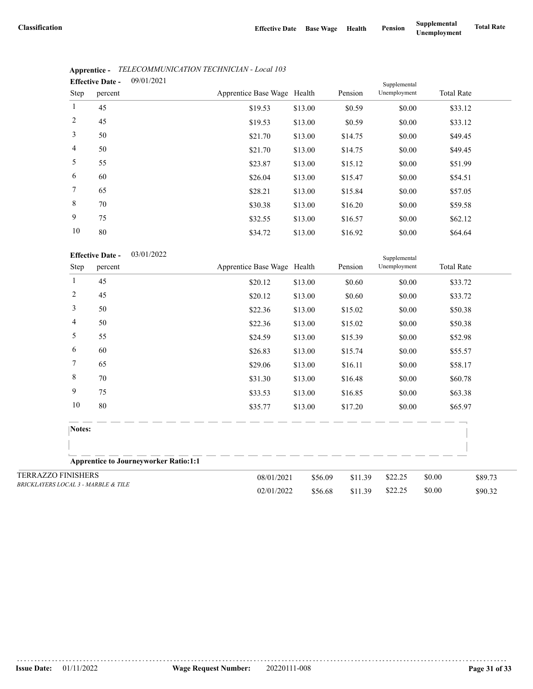|                 | <b>Effective Date -</b> | 09/01/2021 |                             |         |         | Supplemental |                   |  |
|-----------------|-------------------------|------------|-----------------------------|---------|---------|--------------|-------------------|--|
| <b>Step</b>     | percent                 |            | Apprentice Base Wage Health |         | Pension | Unemployment | <b>Total Rate</b> |  |
| $\mathbf{1}$    | 45                      |            | \$19.53                     | \$13.00 | \$0.59  | \$0.00       | \$33.12           |  |
| $\overline{2}$  | 45                      |            | \$19.53                     | \$13.00 | \$0.59  | \$0.00       | \$33.12           |  |
| 3               | 50                      |            | \$21.70                     | \$13.00 | \$14.75 | \$0.00       | \$49.45           |  |
| $\overline{4}$  | 50                      |            | \$21.70                     | \$13.00 | \$14.75 | \$0.00       | \$49.45           |  |
| 5               | 55                      |            | \$23.87                     | \$13.00 | \$15.12 | \$0.00       | \$51.99           |  |
| 6               | 60                      |            | \$26.04                     | \$13.00 | \$15.47 | \$0.00       | \$54.51           |  |
| $7\phantom{.0}$ | 65                      |            | \$28.21                     | \$13.00 | \$15.84 | \$0.00       | \$57.05           |  |
| 8               | 70                      |            | \$30.38                     | \$13.00 | \$16.20 | \$0.00       | \$59.58           |  |
| 9               | 75                      |            | \$32.55                     | \$13.00 | \$16.57 | \$0.00       | \$62.12           |  |
| 10              | 80                      |            | \$34.72                     | \$13.00 | \$16.92 | \$0.00       | \$64.64           |  |

# **Apprentice -** *TELECOMMUNICATION TECHNICIAN - Local 103*

|                                                |              | $\sigma$                |                                              | ے ہ . +ت ب                  | 013.00  | 910.JZ  | 90.00        | PUT.UT            |         |
|------------------------------------------------|--------------|-------------------------|----------------------------------------------|-----------------------------|---------|---------|--------------|-------------------|---------|
|                                                |              | <b>Effective Date -</b> | 03/01/2022                                   |                             |         |         | Supplemental |                   |         |
|                                                | Step         | percent                 |                                              | Apprentice Base Wage Health |         | Pension | Unemployment | <b>Total Rate</b> |         |
|                                                | $\mathbf{1}$ | 45                      |                                              | \$20.12                     | \$13.00 | \$0.60  | \$0.00       | \$33.72           |         |
|                                                | 2            | 45                      |                                              | \$20.12                     | \$13.00 | \$0.60  | \$0.00       | \$33.72           |         |
|                                                | 3            | 50                      |                                              | \$22.36                     | \$13.00 | \$15.02 | \$0.00       | \$50.38           |         |
|                                                | 4            | 50                      |                                              | \$22.36                     | \$13.00 | \$15.02 | \$0.00       | \$50.38           |         |
|                                                | 5            | 55                      |                                              | \$24.59                     | \$13.00 | \$15.39 | \$0.00       | \$52.98           |         |
|                                                | 6            | 60                      |                                              | \$26.83                     | \$13.00 | \$15.74 | \$0.00       | \$55.57           |         |
|                                                | 7            | 65                      |                                              | \$29.06                     | \$13.00 | \$16.11 | \$0.00       | \$58.17           |         |
|                                                | 8            | 70                      |                                              | \$31.30                     | \$13.00 | \$16.48 | \$0.00       | \$60.78           |         |
|                                                | 9            | 75                      |                                              | \$33.53                     | \$13.00 | \$16.85 | \$0.00       | \$63.38           |         |
|                                                | 10           | 80                      |                                              | \$35.77                     | \$13.00 | \$17.20 | \$0.00       | \$65.97           |         |
|                                                | Notes:       |                         |                                              |                             |         |         |              |                   |         |
|                                                |              |                         |                                              |                             |         |         |              |                   |         |
|                                                |              |                         | <b>Apprentice to Journeyworker Ratio:1:1</b> |                             |         |         |              |                   |         |
| <b>TERRAZZO FINISHERS</b>                      |              |                         |                                              | 08/01/2021                  | \$56.09 | \$11.39 | \$22.25      | \$0.00            | \$89.73 |
| <b>BRICKLAYERS LOCAL 3 - MARBLE &amp; TILE</b> |              |                         |                                              | 02/01/2022                  | \$56.68 | \$11.39 | \$22.25      | \$0.00            | \$90.32 |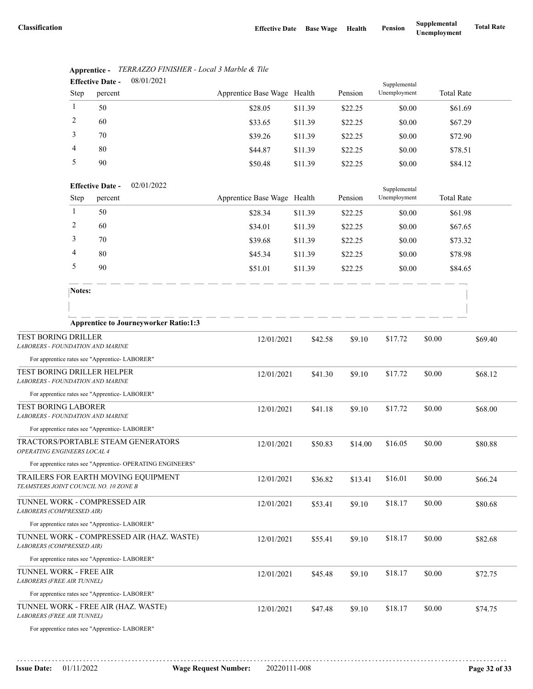|                                                                          |              | <b>Effective Date -</b> | 08/01/2021                                                 |                             |         |         | Supplemental |                   |         |
|--------------------------------------------------------------------------|--------------|-------------------------|------------------------------------------------------------|-----------------------------|---------|---------|--------------|-------------------|---------|
|                                                                          | Step         | percent                 |                                                            | Apprentice Base Wage Health |         | Pension | Unemployment | <b>Total Rate</b> |         |
|                                                                          | 1            | 50                      |                                                            | \$28.05                     | \$11.39 | \$22.25 | \$0.00       | \$61.69           |         |
|                                                                          | 2            | 60                      |                                                            | \$33.65                     | \$11.39 | \$22.25 | \$0.00       | \$67.29           |         |
|                                                                          | 3            | 70                      |                                                            | \$39.26                     | \$11.39 | \$22.25 | \$0.00       | \$72.90           |         |
|                                                                          | 4            | 80                      |                                                            | \$44.87                     | \$11.39 | \$22.25 | \$0.00       | \$78.51           |         |
|                                                                          | 5            | 90                      |                                                            | \$50.48                     | \$11.39 | \$22.25 | \$0.00       | \$84.12           |         |
|                                                                          |              | <b>Effective Date -</b> | 02/01/2022                                                 |                             |         |         | Supplemental |                   |         |
|                                                                          | Step         | percent                 |                                                            | Apprentice Base Wage Health |         | Pension | Unemployment | <b>Total Rate</b> |         |
|                                                                          | $\mathbf{1}$ | 50                      |                                                            | \$28.34                     | \$11.39 | \$22.25 | \$0.00       | \$61.98           |         |
|                                                                          | 2            | 60                      |                                                            | \$34.01                     | \$11.39 | \$22.25 | \$0.00       | \$67.65           |         |
|                                                                          | 3            | 70                      |                                                            | \$39.68                     | \$11.39 | \$22.25 | \$0.00       | \$73.32           |         |
|                                                                          | 4            | 80                      |                                                            | \$45.34                     | \$11.39 | \$22.25 | \$0.00       | \$78.98           |         |
|                                                                          | 5            | 90                      |                                                            | \$51.01                     | \$11.39 | \$22.25 | \$0.00       | \$84.65           |         |
|                                                                          | Notes:       |                         |                                                            |                             |         |         |              |                   |         |
|                                                                          |              |                         |                                                            |                             |         |         |              |                   |         |
|                                                                          |              |                         | <b>Apprentice to Journeyworker Ratio:1:3</b>               |                             |         |         |              |                   |         |
| TEST BORING DRILLER<br><b>LABORERS - FOUNDATION AND MARINE</b>           |              |                         |                                                            | 12/01/2021                  | \$42.58 | \$9.10  | \$17.72      | \$0.00            | \$69.40 |
| For apprentice rates see "Apprentice- LABORER"                           |              |                         |                                                            |                             |         |         |              |                   |         |
| TEST BORING DRILLER HELPER<br><b>LABORERS - FOUNDATION AND MARINE</b>    |              |                         |                                                            | 12/01/2021                  | \$41.30 | \$9.10  | \$17.72      | \$0.00            | \$68.12 |
| For apprentice rates see "Apprentice-LABORER"                            |              |                         |                                                            |                             |         |         |              |                   |         |
| <b>TEST BORING LABORER</b><br><b>LABORERS - FOUNDATION AND MARINE</b>    |              |                         |                                                            | 12/01/2021                  | \$41.18 | \$9.10  | \$17.72      | \$0.00            | \$68.00 |
| For apprentice rates see "Apprentice- LABORER"                           |              |                         |                                                            |                             |         |         |              |                   |         |
| OPERATING ENGINEERS LOCAL 4                                              |              |                         | TRACTORS/PORTABLE STEAM GENERATORS                         | 12/01/2021                  | \$50.83 | \$14.00 | \$16.05      | \$0.00            | \$80.88 |
|                                                                          |              |                         | For apprentice rates see "Apprentice- OPERATING ENGINEERS" |                             |         |         |              |                   |         |
| TEAMSTERS JOINT COUNCIL NO. 10 ZONE B                                    |              |                         | TRAILERS FOR EARTH MOVING EQUIPMENT                        | 12/01/2021                  | \$36.82 | \$13.41 | \$16.01      | \$0.00            | \$66.24 |
| TUNNEL WORK - COMPRESSED AIR<br>LABORERS (COMPRESSED AIR)                |              |                         |                                                            | 12/01/2021                  | \$53.41 | \$9.10  | \$18.17      | \$0.00            | \$80.68 |
| For apprentice rates see "Apprentice- LABORER"                           |              |                         |                                                            |                             |         |         |              |                   |         |
| LABORERS (COMPRESSED AIR)                                                |              |                         | TUNNEL WORK - COMPRESSED AIR (HAZ. WASTE)                  | 12/01/2021                  | \$55.41 | \$9.10  | \$18.17      | \$0.00            | \$82.68 |
| For apprentice rates see "Apprentice- LABORER"                           |              |                         |                                                            |                             |         |         |              |                   |         |
| TUNNEL WORK - FREE AIR<br>LABORERS (FREE AIR TUNNEL)                     |              |                         |                                                            | 12/01/2021                  | \$45.48 | \$9.10  | \$18.17      | \$0.00            | \$72.75 |
| For apprentice rates see "Apprentice- LABORER"                           |              |                         |                                                            |                             |         |         |              |                   |         |
| TUNNEL WORK - FREE AIR (HAZ. WASTE)<br><b>LABORERS (FREE AIR TUNNEL)</b> |              |                         |                                                            | 12/01/2021                  | \$47.48 | \$9.10  | \$18.17      | \$0.00            | \$74.75 |
| For apprentice rates see "Apprentice-LABORER"                            |              |                         |                                                            |                             |         |         |              |                   |         |

#### **Apprentice -** *TERRAZZO FINISHER - Local 3 Marble & Tile* 08/01/2021